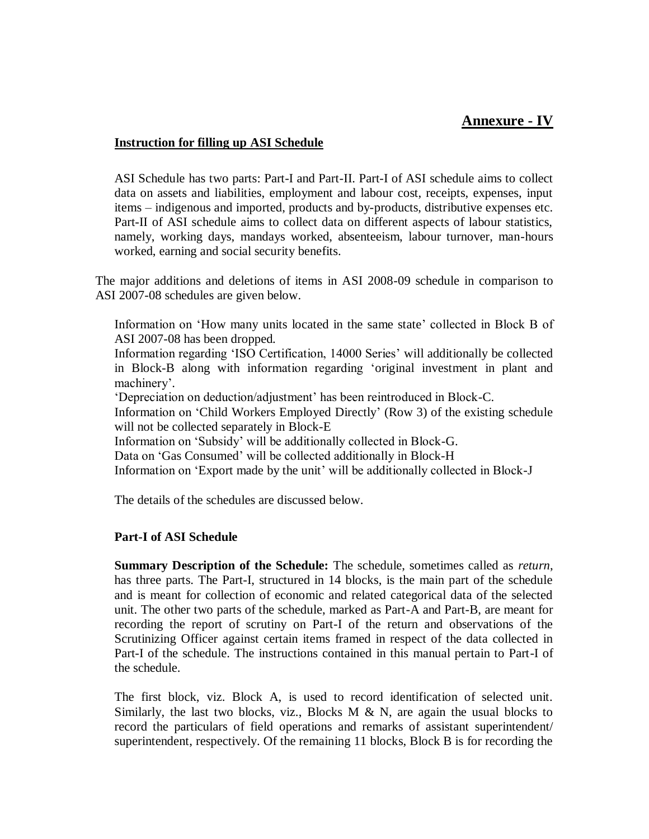# **Annexure - IV**

#### **Instruction for filling up ASI Schedule**

ASI Schedule has two parts: Part-I and Part-II. Part-I of ASI schedule aims to collect data on assets and liabilities, employment and labour cost, receipts, expenses, input items – indigenous and imported, products and by-products, distributive expenses etc. Part-II of ASI schedule aims to collect data on different aspects of labour statistics, namely, working days, mandays worked, absenteeism, labour turnover, man-hours worked, earning and social security benefits.

The major additions and deletions of items in ASI 2008-09 schedule in comparison to ASI 2007-08 schedules are given below.

Information on 'How many units located in the same state' collected in Block B of ASI 2007-08 has been dropped.

Information regarding 'ISO Certification, 14000 Series' will additionally be collected in Block-B along with information regarding 'original investment in plant and machinery'.

'Depreciation on deduction/adjustment' has been reintroduced in Block-C.

Information on 'Child Workers Employed Directly' (Row 3) of the existing schedule will not be collected separately in Block-E

Information on 'Subsidy' will be additionally collected in Block-G.

Data on 'Gas Consumed' will be collected additionally in Block-H

Information on 'Export made by the unit' will be additionally collected in Block-J

The details of the schedules are discussed below.

### **Part-I of ASI Schedule**

**Summary Description of the Schedule:** The schedule, sometimes called as *return*, has three parts. The Part-I, structured in 14 blocks, is the main part of the schedule and is meant for collection of economic and related categorical data of the selected unit. The other two parts of the schedule, marked as Part-A and Part-B, are meant for recording the report of scrutiny on Part-I of the return and observations of the Scrutinizing Officer against certain items framed in respect of the data collected in Part-I of the schedule. The instructions contained in this manual pertain to Part-I of the schedule.

The first block, viz. Block A, is used to record identification of selected unit. Similarly, the last two blocks, viz., Blocks M  $\&$  N, are again the usual blocks to record the particulars of field operations and remarks of assistant superintendent/ superintendent, respectively. Of the remaining 11 blocks, Block B is for recording the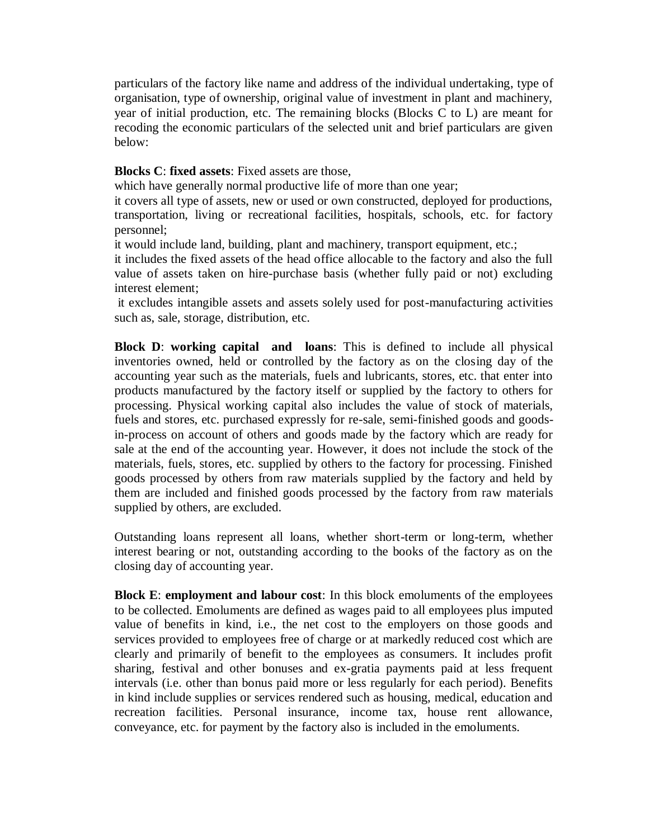particulars of the factory like name and address of the individual undertaking, type of organisation, type of ownership, original value of investment in plant and machinery, year of initial production, etc. The remaining blocks (Blocks C to L) are meant for recoding the economic particulars of the selected unit and brief particulars are given below:

#### **Blocks C**: **fixed assets**: Fixed assets are those,

which have generally normal productive life of more than one year;

it covers all type of assets, new or used or own constructed, deployed for productions, transportation, living or recreational facilities, hospitals, schools, etc. for factory personnel;

it would include land, building, plant and machinery, transport equipment, etc.;

it includes the fixed assets of the head office allocable to the factory and also the full value of assets taken on hire-purchase basis (whether fully paid or not) excluding interest element;

it excludes intangible assets and assets solely used for post-manufacturing activities such as, sale, storage, distribution, etc.

**Block D**: **working capital and loans**: This is defined to include all physical inventories owned, held or controlled by the factory as on the closing day of the accounting year such as the materials, fuels and lubricants, stores, etc. that enter into products manufactured by the factory itself or supplied by the factory to others for processing. Physical working capital also includes the value of stock of materials, fuels and stores, etc. purchased expressly for re-sale, semi-finished goods and goodsin-process on account of others and goods made by the factory which are ready for sale at the end of the accounting year. However, it does not include the stock of the materials, fuels, stores, etc. supplied by others to the factory for processing. Finished goods processed by others from raw materials supplied by the factory and held by them are included and finished goods processed by the factory from raw materials supplied by others, are excluded.

Outstanding loans represent all loans, whether short-term or long-term, whether interest bearing or not, outstanding according to the books of the factory as on the closing day of accounting year.

**Block E**: **employment and labour cost**: In this block emoluments of the employees to be collected. Emoluments are defined as wages paid to all employees plus imputed value of benefits in kind, i.e., the net cost to the employers on those goods and services provided to employees free of charge or at markedly reduced cost which are clearly and primarily of benefit to the employees as consumers. It includes profit sharing, festival and other bonuses and ex-gratia payments paid at less frequent intervals (i.e. other than bonus paid more or less regularly for each period). Benefits in kind include supplies or services rendered such as housing, medical, education and recreation facilities. Personal insurance, income tax, house rent allowance, conveyance, etc. for payment by the factory also is included in the emoluments.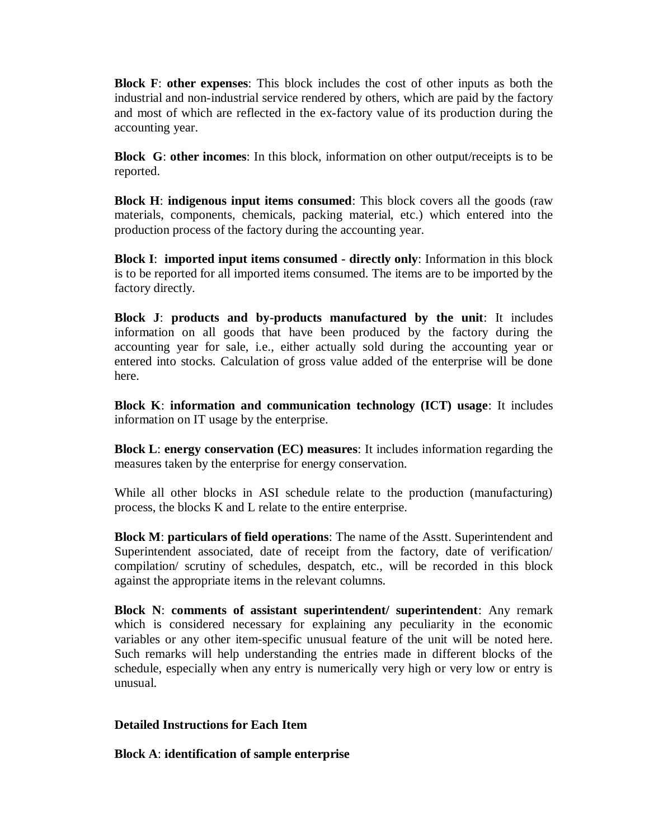**Block F**: **other expenses**: This block includes the cost of other inputs as both the industrial and non-industrial service rendered by others, which are paid by the factory and most of which are reflected in the ex-factory value of its production during the accounting year.

**Block G**: **other incomes**: In this block, information on other output/receipts is to be reported.

**Block H**: **indigenous input items consumed**: This block covers all the goods (raw materials, components, chemicals, packing material, etc.) which entered into the production process of the factory during the accounting year.

**Block I**: **imported input items consumed - directly only**: Information in this block is to be reported for all imported items consumed. The items are to be imported by the factory directly.

**Block J**: **products and by-products manufactured by the unit**: It includes information on all goods that have been produced by the factory during the accounting year for sale, i.e., either actually sold during the accounting year or entered into stocks. Calculation of gross value added of the enterprise will be done here.

**Block K**: **information and communication technology (ICT) usage**: It includes information on IT usage by the enterprise.

**Block L**: **energy conservation (EC) measures**: It includes information regarding the measures taken by the enterprise for energy conservation.

While all other blocks in ASI schedule relate to the production (manufacturing) process, the blocks K and L relate to the entire enterprise.

**Block M**: **particulars of field operations**: The name of the Asstt. Superintendent and Superintendent associated, date of receipt from the factory, date of verification/ compilation/ scrutiny of schedules, despatch, etc., will be recorded in this block against the appropriate items in the relevant columns.

**Block N**: **comments of assistant superintendent/ superintendent**: Any remark which is considered necessary for explaining any peculiarity in the economic variables or any other item-specific unusual feature of the unit will be noted here. Such remarks will help understanding the entries made in different blocks of the schedule, especially when any entry is numerically very high or very low or entry is unusual.

### **Detailed Instructions for Each Item**

**Block A**: **identification of sample enterprise**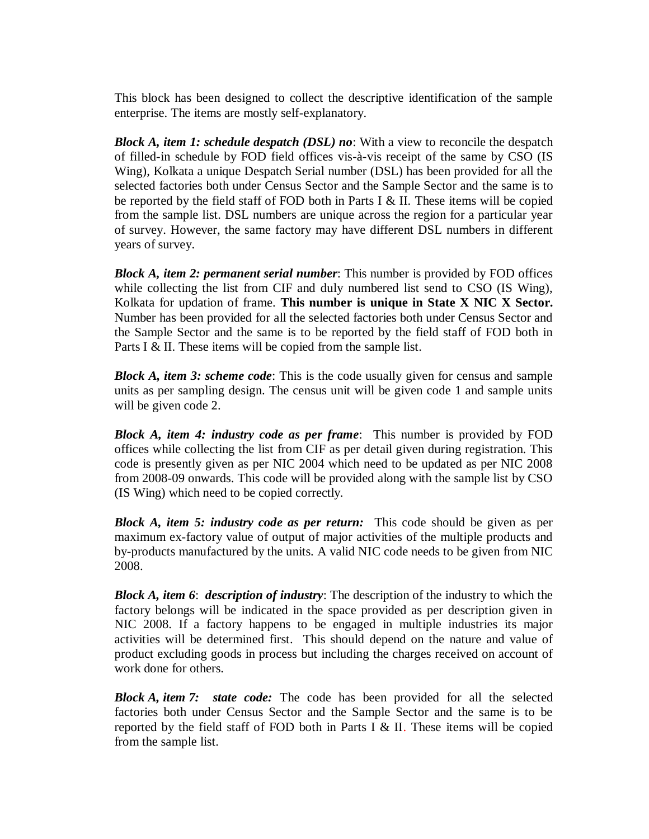This block has been designed to collect the descriptive identification of the sample enterprise. The items are mostly self-explanatory.

*Block A, item 1: schedule despatch (DSL) no*: With a view to reconcile the despatch of filled-in schedule by FOD field offices vis-à-vis receipt of the same by CSO (IS Wing), Kolkata a unique Despatch Serial number (DSL) has been provided for all the selected factories both under Census Sector and the Sample Sector and the same is to be reported by the field staff of FOD both in Parts I  $&$  II. These items will be copied from the sample list. DSL numbers are unique across the region for a particular year of survey. However, the same factory may have different DSL numbers in different years of survey.

*Block A, item 2: permanent serial number*: This number is provided by FOD offices while collecting the list from CIF and duly numbered list send to CSO (IS Wing), Kolkata for updation of frame. **This number is unique in State X NIC X Sector.** Number has been provided for all the selected factories both under Census Sector and the Sample Sector and the same is to be reported by the field staff of FOD both in Parts I & II. These items will be copied from the sample list.

*Block A, item 3: scheme code*: This is the code usually given for census and sample units as per sampling design. The census unit will be given code 1 and sample units will be given code 2.

*Block A, item 4: industry code as per frame*: This number is provided by FOD offices while collecting the list from CIF as per detail given during registration. This code is presently given as per NIC 2004 which need to be updated as per NIC 2008 from 2008-09 onwards. This code will be provided along with the sample list by CSO (IS Wing) which need to be copied correctly.

*Block A, item 5: industry code as per return:* This code should be given as per maximum ex-factory value of output of major activities of the multiple products and by-products manufactured by the units. A valid NIC code needs to be given from NIC 2008.

*Block A, item 6*: *description of industry*: The description of the industry to which the factory belongs will be indicated in the space provided as per description given in NIC 2008. If a factory happens to be engaged in multiple industries its major activities will be determined first. This should depend on the nature and value of product excluding goods in process but including the charges received on account of work done for others.

*Block A, item 7: state code:* The code has been provided for all the selected factories both under Census Sector and the Sample Sector and the same is to be reported by the field staff of FOD both in Parts I  $&$  II. These items will be copied from the sample list.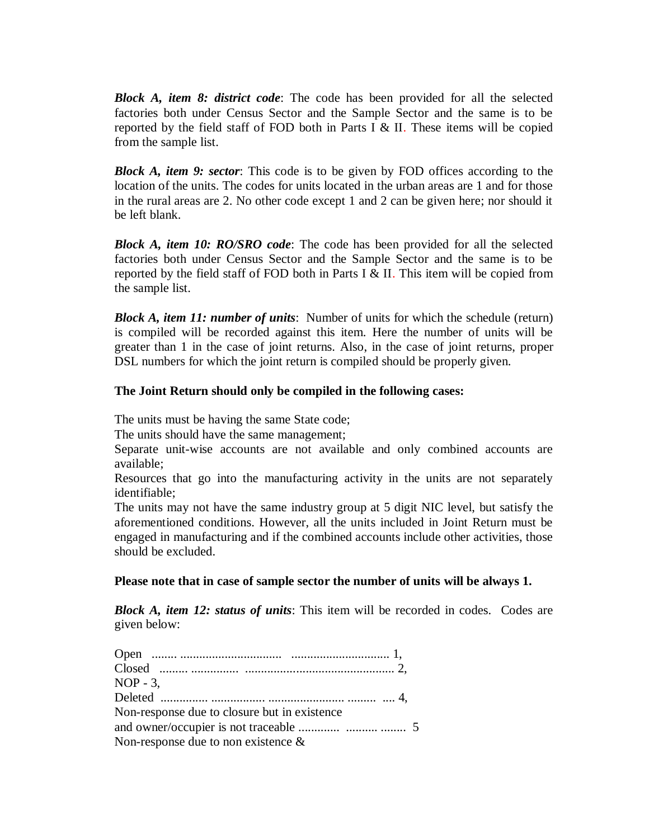*Block A, item 8: district code*: The code has been provided for all the selected factories both under Census Sector and the Sample Sector and the same is to be reported by the field staff of FOD both in Parts I  $&$  II. These items will be copied from the sample list.

*Block A, item 9: sector*: This code is to be given by FOD offices according to the location of the units. The codes for units located in the urban areas are 1 and for those in the rural areas are 2. No other code except 1 and 2 can be given here; nor should it be left blank.

*Block A, item 10: RO/SRO code*: The code has been provided for all the selected factories both under Census Sector and the Sample Sector and the same is to be reported by the field staff of FOD both in Parts I  $&$  II. This item will be copied from the sample list.

*Block A, item 11: number of units*: Number of units for which the schedule (return) is compiled will be recorded against this item. Here the number of units will be greater than 1 in the case of joint returns. Also, in the case of joint returns, proper DSL numbers for which the joint return is compiled should be properly given.

### **The Joint Return should only be compiled in the following cases:**

The units must be having the same State code;

The units should have the same management;

Separate unit-wise accounts are not available and only combined accounts are available;

Resources that go into the manufacturing activity in the units are not separately identifiable;

The units may not have the same industry group at 5 digit NIC level, but satisfy the aforementioned conditions. However, all the units included in Joint Return must be engaged in manufacturing and if the combined accounts include other activities, those should be excluded.

**Please note that in case of sample sector the number of units will be always 1.**

*Block A, item 12: status of units*: This item will be recorded in codes. Codes are given below:

| $NOP - 3$ .                                  |  |
|----------------------------------------------|--|
|                                              |  |
| Non-response due to closure but in existence |  |
|                                              |  |
| Non-response due to non existence $\&$       |  |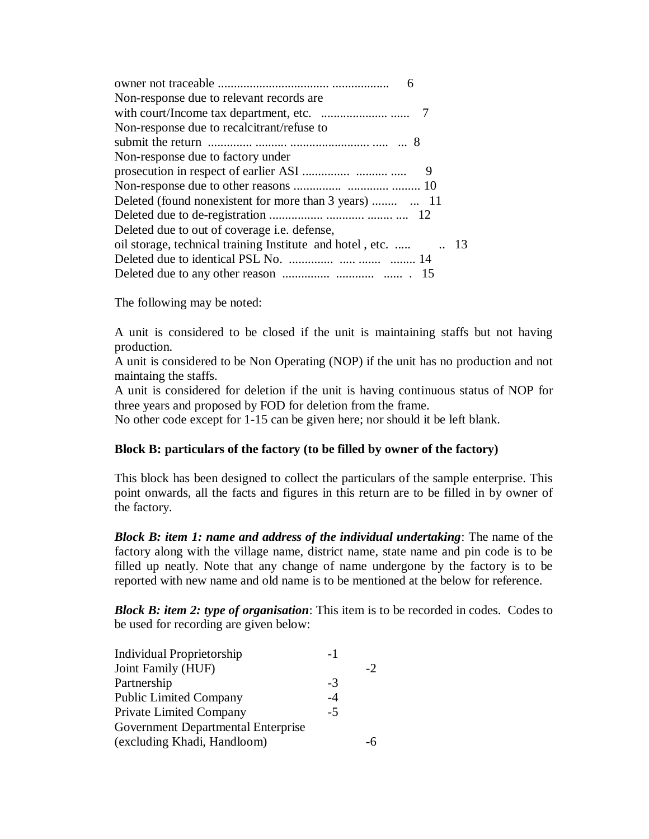| Non-response due to relevant records are.                      |
|----------------------------------------------------------------|
|                                                                |
| Non-response due to recalcitrant/refuse to                     |
|                                                                |
| Non-response due to factory under                              |
| 9                                                              |
|                                                                |
|                                                                |
|                                                                |
| Deleted due to out of coverage <i>i.e.</i> defense,            |
| oil storage, technical training Institute and hotel, etc.   13 |
|                                                                |
|                                                                |

The following may be noted:

A unit is considered to be closed if the unit is maintaining staffs but not having production.

A unit is considered to be Non Operating (NOP) if the unit has no production and not maintaing the staffs.

A unit is considered for deletion if the unit is having continuous status of NOP for three years and proposed by FOD for deletion from the frame.

No other code except for 1-15 can be given here; nor should it be left blank.

### **Block B: particulars of the factory (to be filled by owner of the factory)**

This block has been designed to collect the particulars of the sample enterprise. This point onwards, all the facts and figures in this return are to be filled in by owner of the factory.

*Block B: item 1: name and address of the individual undertaking*: The name of the factory along with the village name, district name, state name and pin code is to be filled up neatly. Note that any change of name undergone by the factory is to be reported with new name and old name is to be mentioned at the below for reference.

*Block B: item 2: type of organisation*: This item is to be recorded in codes. Codes to be used for recording are given below:

| <b>Individual Proprietorship</b>   | -1   |    |
|------------------------------------|------|----|
| Joint Family (HUF)                 |      | -2 |
| Partnership                        | -3   |    |
| <b>Public Limited Company</b>      | $-4$ |    |
| Private Limited Company            | $-5$ |    |
| Government Departmental Enterprise |      |    |
| (excluding Khadi, Handloom)        |      |    |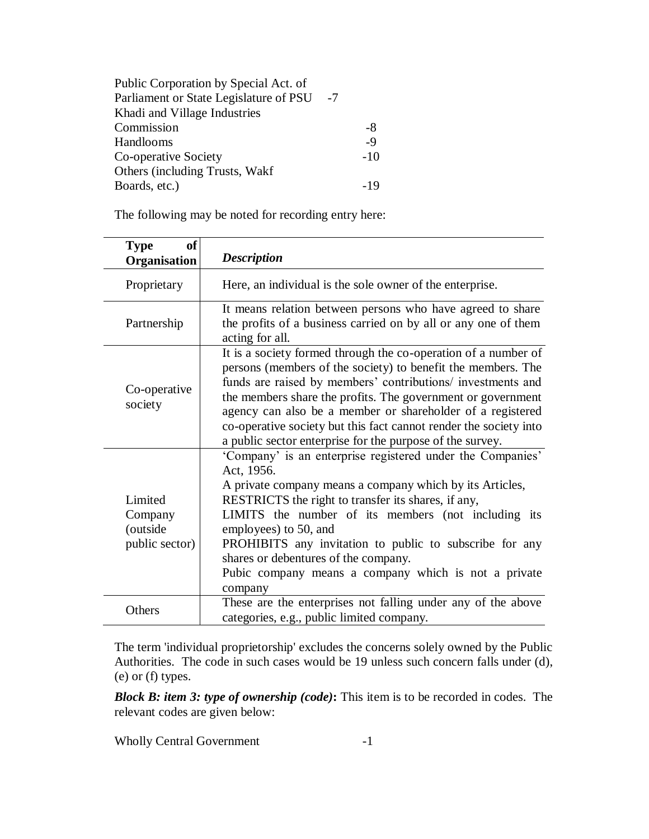| Public Corporation by Special Act. of  |      |       |
|----------------------------------------|------|-------|
| Parliament or State Legislature of PSU | $-7$ |       |
| Khadi and Village Industries           |      |       |
| Commission                             |      | -8    |
| Handlooms                              |      | $-9$  |
| Co-operative Society                   |      | $-10$ |
| Others (including Trusts, Wakf         |      |       |
| Boards, etc.)                          |      |       |

The following may be noted for recording entry here:

| <b>of</b><br><b>Type</b><br>Organisation         | <b>Description</b>                                                                                                                                                                                                                                                                                                                                                                                                                                           |  |
|--------------------------------------------------|--------------------------------------------------------------------------------------------------------------------------------------------------------------------------------------------------------------------------------------------------------------------------------------------------------------------------------------------------------------------------------------------------------------------------------------------------------------|--|
| Proprietary                                      | Here, an individual is the sole owner of the enterprise.                                                                                                                                                                                                                                                                                                                                                                                                     |  |
| Partnership                                      | It means relation between persons who have agreed to share<br>the profits of a business carried on by all or any one of them<br>acting for all.                                                                                                                                                                                                                                                                                                              |  |
| Co-operative<br>society                          | It is a society formed through the co-operation of a number of<br>persons (members of the society) to benefit the members. The<br>funds are raised by members' contributions/ investments and<br>the members share the profits. The government or government<br>agency can also be a member or shareholder of a registered<br>co-operative society but this fact cannot render the society into<br>a public sector enterprise for the purpose of the survey. |  |
| Limited<br>Company<br>(outside<br>public sector) | 'Company' is an enterprise registered under the Companies'<br>Act, 1956.<br>A private company means a company which by its Articles,<br>RESTRICTS the right to transfer its shares, if any,<br>LIMITS the number of its members (not including its<br>employees) to 50, and<br>PROHIBITS any invitation to public to subscribe for any<br>shares or debentures of the company.<br>Pubic company means a company which is not a private<br>company            |  |
| Others                                           | These are the enterprises not falling under any of the above<br>categories, e.g., public limited company.                                                                                                                                                                                                                                                                                                                                                    |  |

The term 'individual proprietorship' excludes the concerns solely owned by the Public Authorities. The code in such cases would be 19 unless such concern falls under (d), (e) or (f) types.

*Block B: item 3: type of ownership (code)***:** This item is to be recorded in codes. The relevant codes are given below:

Wholly Central Government -1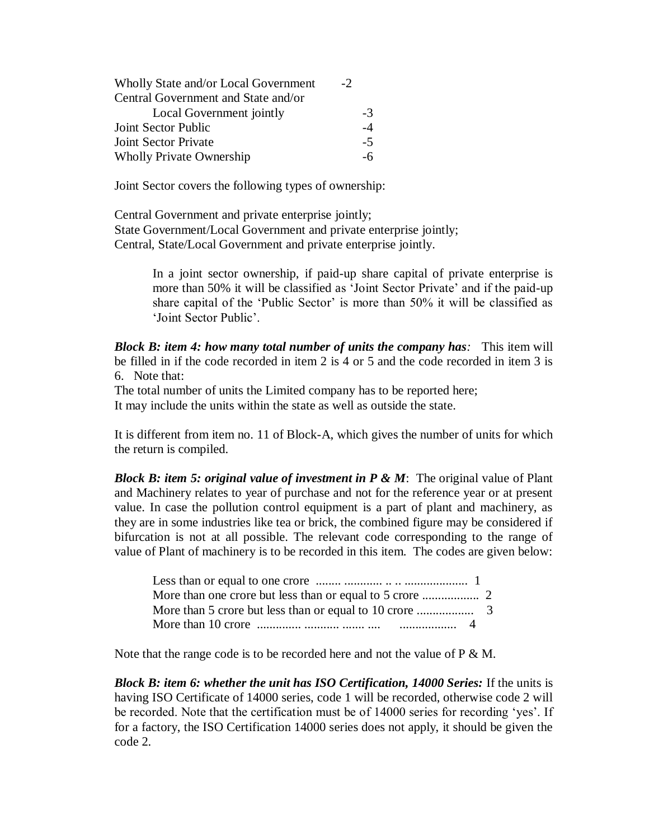| Wholly State and/or Local Government | $-2$ |     |
|--------------------------------------|------|-----|
| Central Government and State and/or  |      |     |
| Local Government jointly             | $-3$ |     |
| Joint Sector Public                  |      | -4  |
| Joint Sector Private                 | $-5$ |     |
| <b>Wholly Private Ownership</b>      |      | -6. |

Joint Sector covers the following types of ownership:

Central Government and private enterprise jointly; State Government/Local Government and private enterprise jointly; Central, State/Local Government and private enterprise jointly.

> In a joint sector ownership, if paid-up share capital of private enterprise is more than 50% it will be classified as 'Joint Sector Private' and if the paid-up share capital of the 'Public Sector' is more than 50% it will be classified as 'Joint Sector Public'.

*Block B: item 4: how many total number of units the company has:* This item will be filled in if the code recorded in item 2 is 4 or 5 and the code recorded in item 3 is 6. Note that:

The total number of units the Limited company has to be reported here; It may include the units within the state as well as outside the state.

It is different from item no. 11 of Block-A, which gives the number of units for which the return is compiled.

*Block B: item 5: original value of investment in P & M*: The original value of Plant and Machinery relates to year of purchase and not for the reference year or at present value. In case the pollution control equipment is a part of plant and machinery, as they are in some industries like tea or brick, the combined figure may be considered if bifurcation is not at all possible. The relevant code corresponding to the range of value of Plant of machinery is to be recorded in this item. The codes are given below:

Note that the range code is to be recorded here and not the value of  $P \& M$ .

*Block B: item 6: whether the unit has ISO Certification, 14000 Series:* If the units is having ISO Certificate of 14000 series, code 1 will be recorded, otherwise code 2 will be recorded. Note that the certification must be of 14000 series for recording 'yes'. If for a factory, the ISO Certification 14000 series does not apply, it should be given the code 2.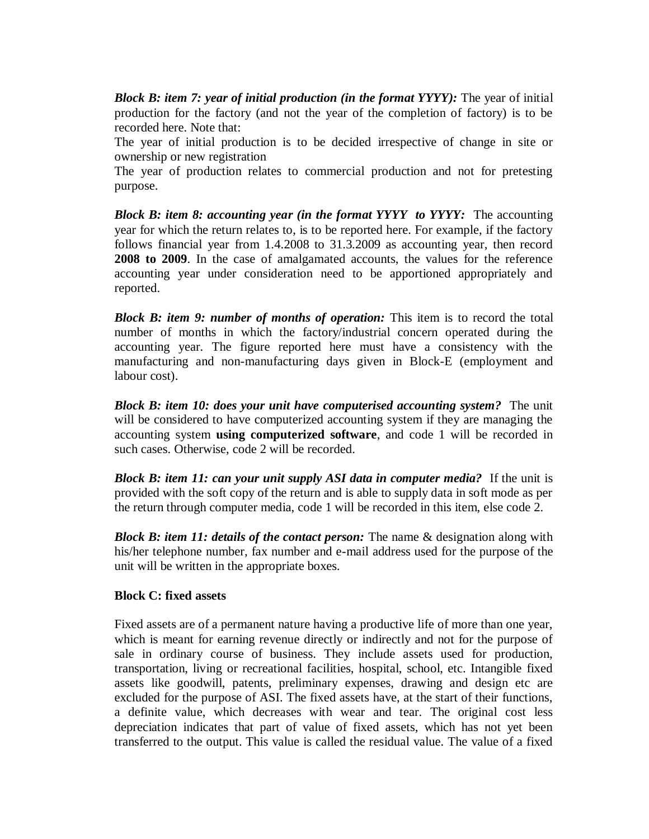*Block B: item 7: year of initial production (in the format YYYY):* The year of initial production for the factory (and not the year of the completion of factory) is to be recorded here. Note that:

The year of initial production is to be decided irrespective of change in site or ownership or new registration

The year of production relates to commercial production and not for pretesting purpose.

*Block B: item 8: accounting year (in the format YYYY to YYYY:* The accounting year for which the return relates to, is to be reported here. For example, if the factory follows financial year from 1.4.2008 to 31.3.2009 as accounting year, then record **2008 to 2009**. In the case of amalgamated accounts, the values for the reference accounting year under consideration need to be apportioned appropriately and reported.

*Block B: item 9: number of months of operation:* This item is to record the total number of months in which the factory/industrial concern operated during the accounting year. The figure reported here must have a consistency with the manufacturing and non-manufacturing days given in Block-E (employment and labour cost).

*Block B: item 10: does your unit have computerised accounting system?* The unit will be considered to have computerized accounting system if they are managing the accounting system **using computerized software**, and code 1 will be recorded in such cases. Otherwise, code 2 will be recorded.

*Block B: item 11: can your unit supply ASI data in computer media?* If the unit is provided with the soft copy of the return and is able to supply data in soft mode as per the return through computer media, code 1 will be recorded in this item, else code 2.

*Block B: item 11: details of the contact person:* The name & designation along with his/her telephone number, fax number and e-mail address used for the purpose of the unit will be written in the appropriate boxes.

### **Block C: fixed assets**

Fixed assets are of a permanent nature having a productive life of more than one year, which is meant for earning revenue directly or indirectly and not for the purpose of sale in ordinary course of business. They include assets used for production, transportation, living or recreational facilities, hospital, school, etc. Intangible fixed assets like goodwill, patents, preliminary expenses, drawing and design etc are excluded for the purpose of ASI. The fixed assets have, at the start of their functions, a definite value, which decreases with wear and tear. The original cost less depreciation indicates that part of value of fixed assets, which has not yet been transferred to the output. This value is called the residual value. The value of a fixed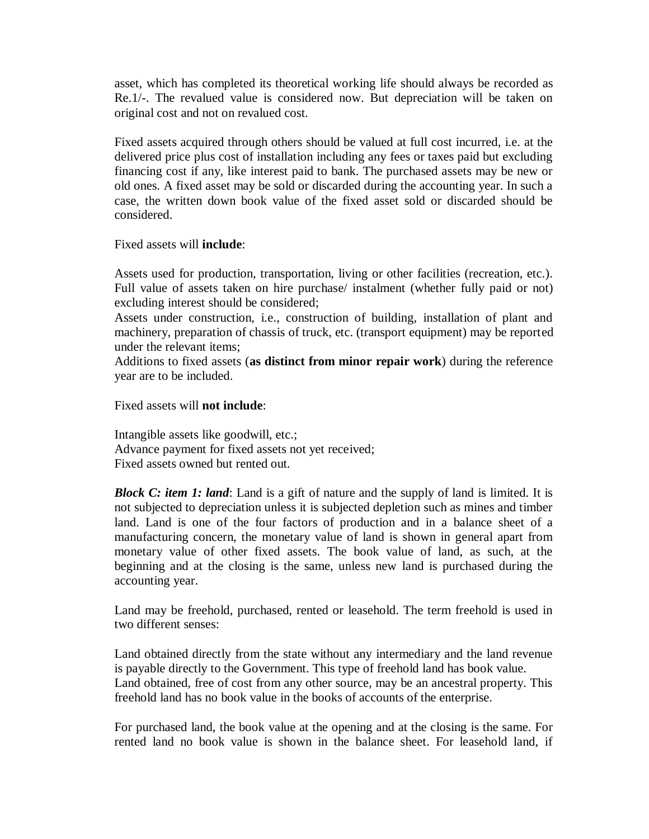asset, which has completed its theoretical working life should always be recorded as Re.1/-. The revalued value is considered now. But depreciation will be taken on original cost and not on revalued cost.

Fixed assets acquired through others should be valued at full cost incurred, i.e. at the delivered price plus cost of installation including any fees or taxes paid but excluding financing cost if any, like interest paid to bank. The purchased assets may be new or old ones. A fixed asset may be sold or discarded during the accounting year. In such a case, the written down book value of the fixed asset sold or discarded should be considered.

Fixed assets will **include**:

Assets used for production, transportation, living or other facilities (recreation, etc.). Full value of assets taken on hire purchase/ instalment (whether fully paid or not) excluding interest should be considered;

Assets under construction, i.e., construction of building, installation of plant and machinery, preparation of chassis of truck, etc. (transport equipment) may be reported under the relevant items;

Additions to fixed assets (**as distinct from minor repair work**) during the reference year are to be included.

Fixed assets will **not include**:

Intangible assets like goodwill, etc.; Advance payment for fixed assets not yet received; Fixed assets owned but rented out.

**Block C: item 1: land:** Land is a gift of nature and the supply of land is limited. It is not subjected to depreciation unless it is subjected depletion such as mines and timber land. Land is one of the four factors of production and in a balance sheet of a manufacturing concern, the monetary value of land is shown in general apart from monetary value of other fixed assets. The book value of land, as such, at the beginning and at the closing is the same, unless new land is purchased during the accounting year.

Land may be freehold, purchased, rented or leasehold. The term freehold is used in two different senses:

Land obtained directly from the state without any intermediary and the land revenue is payable directly to the Government. This type of freehold land has book value. Land obtained, free of cost from any other source, may be an ancestral property. This freehold land has no book value in the books of accounts of the enterprise.

For purchased land, the book value at the opening and at the closing is the same. For rented land no book value is shown in the balance sheet. For leasehold land, if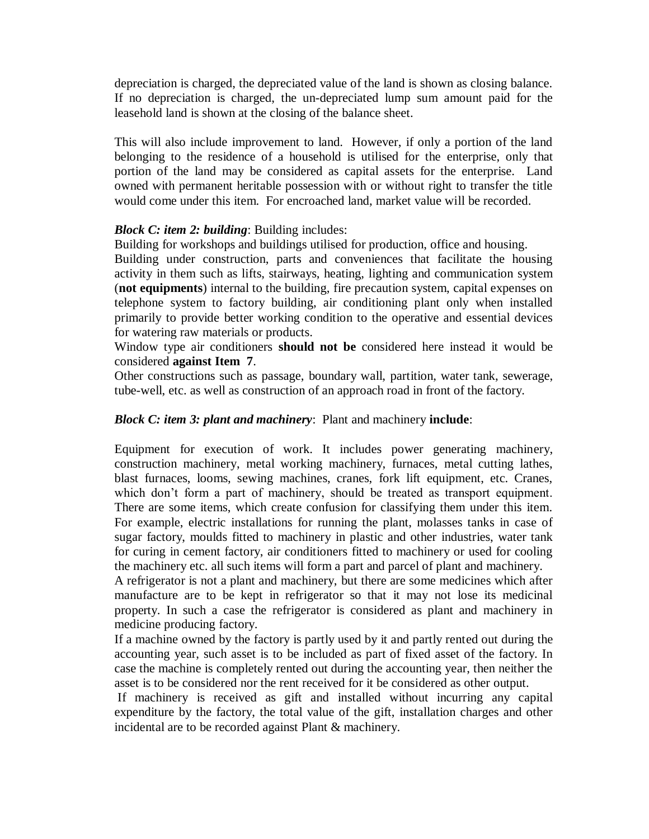depreciation is charged, the depreciated value of the land is shown as closing balance. If no depreciation is charged, the un-depreciated lump sum amount paid for the leasehold land is shown at the closing of the balance sheet.

This will also include improvement to land. However, if only a portion of the land belonging to the residence of a household is utilised for the enterprise, only that portion of the land may be considered as capital assets for the enterprise. Land owned with permanent heritable possession with or without right to transfer the title would come under this item. For encroached land, market value will be recorded.

### *Block C: item 2: building*: Building includes:

Building for workshops and buildings utilised for production, office and housing. Building under construction, parts and conveniences that facilitate the housing activity in them such as lifts, stairways, heating, lighting and communication system (**not equipments**) internal to the building, fire precaution system, capital expenses on telephone system to factory building, air conditioning plant only when installed primarily to provide better working condition to the operative and essential devices for watering raw materials or products.

Window type air conditioners **should not be** considered here instead it would be considered **against Item 7**.

Other constructions such as passage, boundary wall, partition, water tank, sewerage, tube-well, etc. as well as construction of an approach road in front of the factory.

### *Block C: item 3: plant and machinery*: Plant and machinery **include**:

Equipment for execution of work. It includes power generating machinery, construction machinery, metal working machinery, furnaces, metal cutting lathes, blast furnaces, looms, sewing machines, cranes, fork lift equipment, etc. Cranes, which don't form a part of machinery, should be treated as transport equipment. There are some items, which create confusion for classifying them under this item. For example, electric installations for running the plant, molasses tanks in case of sugar factory, moulds fitted to machinery in plastic and other industries, water tank for curing in cement factory, air conditioners fitted to machinery or used for cooling the machinery etc. all such items will form a part and parcel of plant and machinery.

A refrigerator is not a plant and machinery, but there are some medicines which after manufacture are to be kept in refrigerator so that it may not lose its medicinal property. In such a case the refrigerator is considered as plant and machinery in medicine producing factory.

If a machine owned by the factory is partly used by it and partly rented out during the accounting year, such asset is to be included as part of fixed asset of the factory. In case the machine is completely rented out during the accounting year, then neither the asset is to be considered nor the rent received for it be considered as other output.

If machinery is received as gift and installed without incurring any capital expenditure by the factory, the total value of the gift, installation charges and other incidental are to be recorded against Plant & machinery.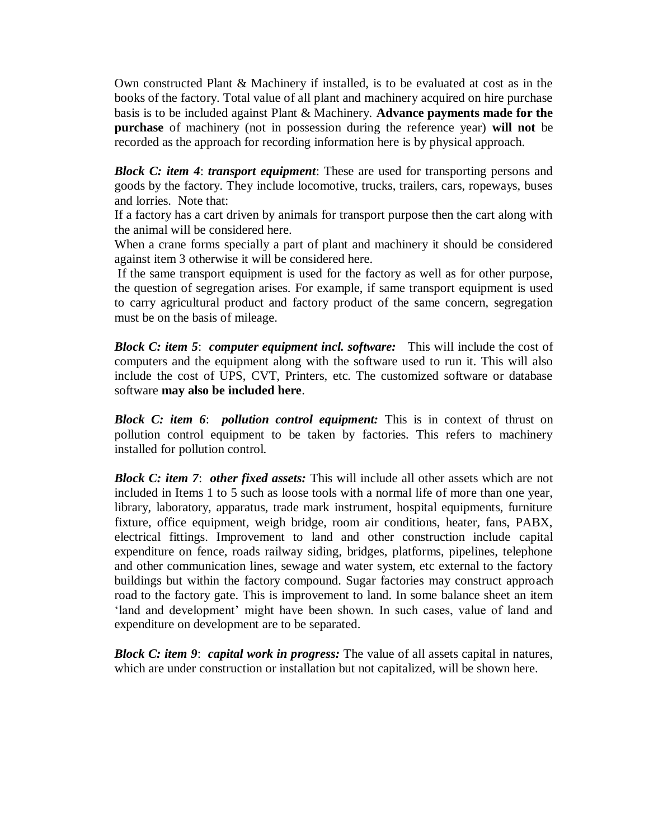Own constructed Plant & Machinery if installed, is to be evaluated at cost as in the books of the factory. Total value of all plant and machinery acquired on hire purchase basis is to be included against Plant & Machinery. **Advance payments made for the purchase** of machinery (not in possession during the reference year) **will not** be recorded as the approach for recording information here is by physical approach.

*Block C: item 4*: *transport equipment*: These are used for transporting persons and goods by the factory. They include locomotive, trucks, trailers, cars, ropeways, buses and lorries. Note that:

If a factory has a cart driven by animals for transport purpose then the cart along with the animal will be considered here.

When a crane forms specially a part of plant and machinery it should be considered against item 3 otherwise it will be considered here.

If the same transport equipment is used for the factory as well as for other purpose, the question of segregation arises. For example, if same transport equipment is used to carry agricultural product and factory product of the same concern, segregation must be on the basis of mileage.

*Block C: item 5*: *computer equipment incl. software:* This will include the cost of computers and the equipment along with the software used to run it. This will also include the cost of UPS, CVT, Printers, etc. The customized software or database software **may also be included here**.

*Block C: item 6*: *pollution control equipment:* This is in context of thrust on pollution control equipment to be taken by factories. This refers to machinery installed for pollution control.

*Block C: item 7*: *other fixed assets:* This will include all other assets which are not included in Items 1 to 5 such as loose tools with a normal life of more than one year, library, laboratory, apparatus, trade mark instrument, hospital equipments, furniture fixture, office equipment, weigh bridge, room air conditions, heater, fans, PABX, electrical fittings. Improvement to land and other construction include capital expenditure on fence, roads railway siding, bridges, platforms, pipelines, telephone and other communication lines, sewage and water system, etc external to the factory buildings but within the factory compound. Sugar factories may construct approach road to the factory gate. This is improvement to land. In some balance sheet an item 'land and development' might have been shown. In such cases, value of land and expenditure on development are to be separated.

*Block C: item 9*: *capital work in progress:* The value of all assets capital in natures, which are under construction or installation but not capitalized, will be shown here.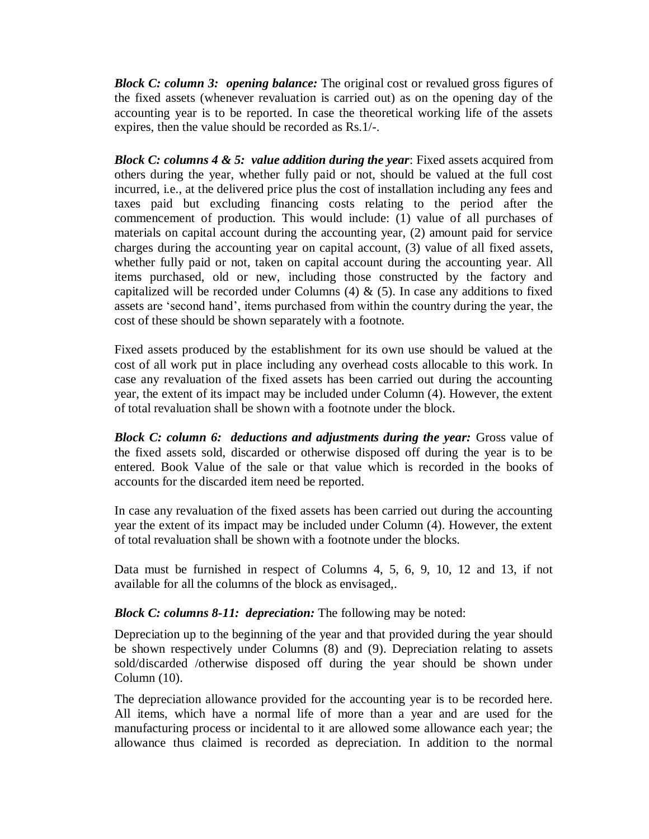*Block C: column 3: opening balance:* The original cost or revalued gross figures of the fixed assets (whenever revaluation is carried out) as on the opening day of the accounting year is to be reported. In case the theoretical working life of the assets expires, then the value should be recorded as Rs.1/-.

*Block C: columns 4 & 5: value addition during the year*: Fixed assets acquired from others during the year, whether fully paid or not, should be valued at the full cost incurred, i.e., at the delivered price plus the cost of installation including any fees and taxes paid but excluding financing costs relating to the period after the commencement of production. This would include: (1) value of all purchases of materials on capital account during the accounting year, (2) amount paid for service charges during the accounting year on capital account, (3) value of all fixed assets, whether fully paid or not, taken on capital account during the accounting year. All items purchased, old or new, including those constructed by the factory and capitalized will be recorded under Columns  $(4)$  &  $(5)$ . In case any additions to fixed assets are 'second hand', items purchased from within the country during the year, the cost of these should be shown separately with a footnote.

Fixed assets produced by the establishment for its own use should be valued at the cost of all work put in place including any overhead costs allocable to this work. In case any revaluation of the fixed assets has been carried out during the accounting year, the extent of its impact may be included under Column (4). However, the extent of total revaluation shall be shown with a footnote under the block.

*Block C: column 6: deductions and adjustments during the year:* Gross value of the fixed assets sold, discarded or otherwise disposed off during the year is to be entered. Book Value of the sale or that value which is recorded in the books of accounts for the discarded item need be reported.

In case any revaluation of the fixed assets has been carried out during the accounting year the extent of its impact may be included under Column (4). However, the extent of total revaluation shall be shown with a footnote under the blocks.

Data must be furnished in respect of Columns 4, 5, 6, 9, 10, 12 and 13, if not available for all the columns of the block as envisaged,.

## *Block C: columns 8-11: depreciation:* The following may be noted:

Depreciation up to the beginning of the year and that provided during the year should be shown respectively under Columns (8) and (9). Depreciation relating to assets sold/discarded /otherwise disposed off during the year should be shown under Column (10).

The depreciation allowance provided for the accounting year is to be recorded here. All items, which have a normal life of more than a year and are used for the manufacturing process or incidental to it are allowed some allowance each year; the allowance thus claimed is recorded as depreciation. In addition to the normal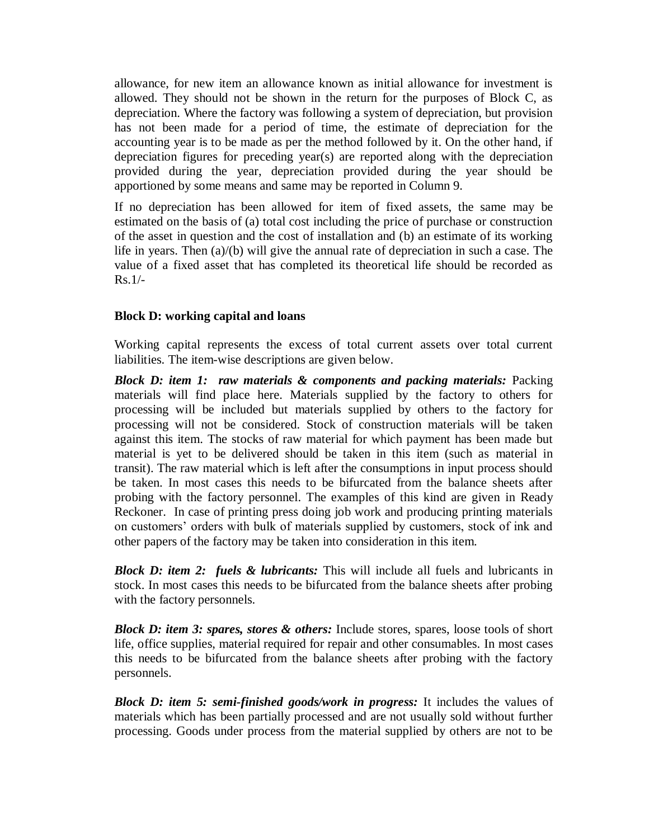allowance, for new item an allowance known as initial allowance for investment is allowed. They should not be shown in the return for the purposes of Block C, as depreciation. Where the factory was following a system of depreciation, but provision has not been made for a period of time, the estimate of depreciation for the accounting year is to be made as per the method followed by it. On the other hand, if depreciation figures for preceding year(s) are reported along with the depreciation provided during the year, depreciation provided during the year should be apportioned by some means and same may be reported in Column 9.

If no depreciation has been allowed for item of fixed assets, the same may be estimated on the basis of (a) total cost including the price of purchase or construction of the asset in question and the cost of installation and (b) an estimate of its working life in years. Then (a)/(b) will give the annual rate of depreciation in such a case. The value of a fixed asset that has completed its theoretical life should be recorded as  $Rs.1/-$ 

### **Block D: working capital and loans**

Working capital represents the excess of total current assets over total current liabilities. The item-wise descriptions are given below.

*Block D: item 1: raw materials & components and packing materials:* Packing materials will find place here. Materials supplied by the factory to others for processing will be included but materials supplied by others to the factory for processing will not be considered. Stock of construction materials will be taken against this item. The stocks of raw material for which payment has been made but material is yet to be delivered should be taken in this item (such as material in transit). The raw material which is left after the consumptions in input process should be taken. In most cases this needs to be bifurcated from the balance sheets after probing with the factory personnel. The examples of this kind are given in Ready Reckoner. In case of printing press doing job work and producing printing materials on customers' orders with bulk of materials supplied by customers, stock of ink and other papers of the factory may be taken into consideration in this item.

*Block D: item 2: fuels & lubricants:* This will include all fuels and lubricants in stock. In most cases this needs to be bifurcated from the balance sheets after probing with the factory personnels.

*Block D: item 3: spares, stores & others:* Include stores, spares, loose tools of short life, office supplies, material required for repair and other consumables. In most cases this needs to be bifurcated from the balance sheets after probing with the factory personnels.

*Block D: item 5: semi-finished goods/work in progress:* It includes the values of materials which has been partially processed and are not usually sold without further processing. Goods under process from the material supplied by others are not to be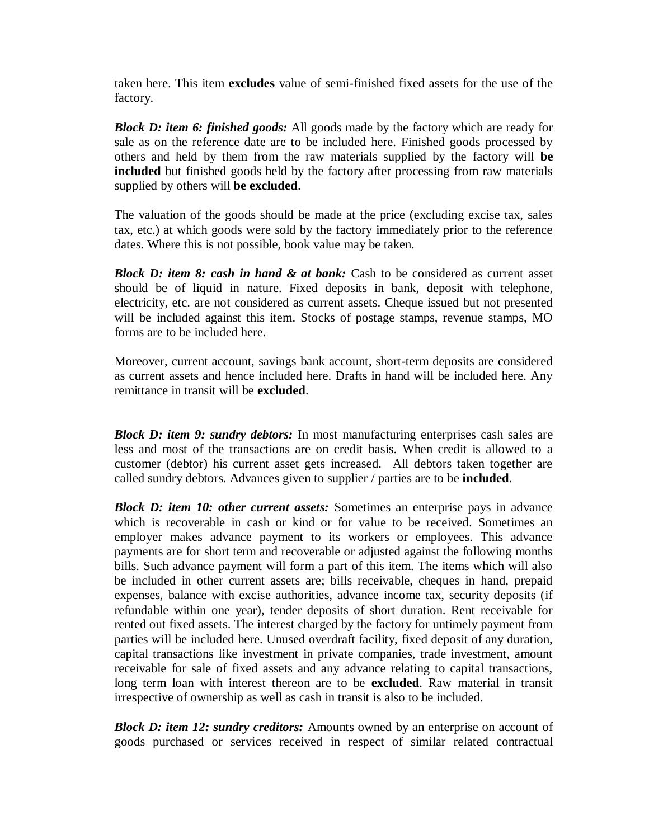taken here. This item **excludes** value of semi-finished fixed assets for the use of the factory.

*Block D: item 6: finished goods:* All goods made by the factory which are ready for sale as on the reference date are to be included here. Finished goods processed by others and held by them from the raw materials supplied by the factory will **be included** but finished goods held by the factory after processing from raw materials supplied by others will **be excluded**.

The valuation of the goods should be made at the price (excluding excise tax, sales tax, etc.) at which goods were sold by the factory immediately prior to the reference dates. Where this is not possible, book value may be taken.

*Block D: item 8: cash in hand & at bank:* Cash to be considered as current asset should be of liquid in nature. Fixed deposits in bank, deposit with telephone, electricity, etc. are not considered as current assets. Cheque issued but not presented will be included against this item. Stocks of postage stamps, revenue stamps, MO forms are to be included here.

Moreover, current account, savings bank account, short-term deposits are considered as current assets and hence included here. Drafts in hand will be included here. Any remittance in transit will be **excluded**.

*Block D: item 9: sundry debtors:* In most manufacturing enterprises cash sales are less and most of the transactions are on credit basis. When credit is allowed to a customer (debtor) his current asset gets increased. All debtors taken together are called sundry debtors. Advances given to supplier / parties are to be **included**.

*Block D: item 10: other current assets:* Sometimes an enterprise pays in advance which is recoverable in cash or kind or for value to be received. Sometimes an employer makes advance payment to its workers or employees. This advance payments are for short term and recoverable or adjusted against the following months bills. Such advance payment will form a part of this item. The items which will also be included in other current assets are; bills receivable, cheques in hand, prepaid expenses, balance with excise authorities, advance income tax, security deposits (if refundable within one year), tender deposits of short duration. Rent receivable for rented out fixed assets. The interest charged by the factory for untimely payment from parties will be included here. Unused overdraft facility, fixed deposit of any duration, capital transactions like investment in private companies, trade investment, amount receivable for sale of fixed assets and any advance relating to capital transactions, long term loan with interest thereon are to be **excluded**. Raw material in transit irrespective of ownership as well as cash in transit is also to be included.

*Block D: item 12: sundry creditors:* Amounts owned by an enterprise on account of goods purchased or services received in respect of similar related contractual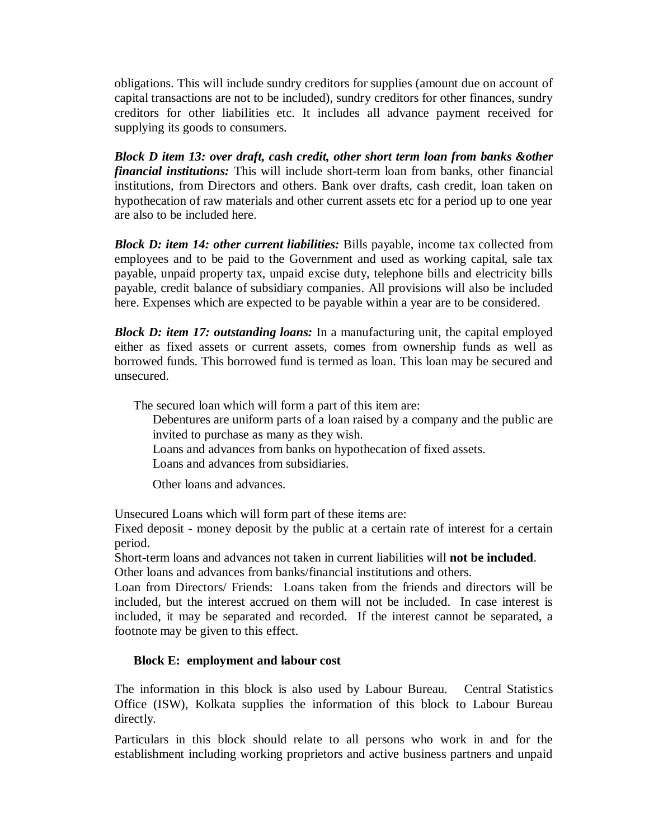obligations. This will include sundry creditors for supplies (amount due on account of capital transactions are not to be included), sundry creditors for other finances, sundry creditors for other liabilities etc. It includes all advance payment received for supplying its goods to consumers.

*Block D item 13: over draft, cash credit, other short term loan from banks &other financial institutions:* This will include short-term loan from banks, other financial institutions, from Directors and others. Bank over drafts, cash credit, loan taken on hypothecation of raw materials and other current assets etc for a period up to one year are also to be included here.

*Block D: item 14: other current liabilities:* Bills payable, income tax collected from employees and to be paid to the Government and used as working capital, sale tax payable, unpaid property tax, unpaid excise duty, telephone bills and electricity bills payable, credit balance of subsidiary companies. All provisions will also be included here. Expenses which are expected to be payable within a year are to be considered.

*Block D: item 17: outstanding loans:* In a manufacturing unit, the capital employed either as fixed assets or current assets, comes from ownership funds as well as borrowed funds. This borrowed fund is termed as loan. This loan may be secured and unsecured.

The secured loan which will form a part of this item are:

Debentures are uniform parts of a loan raised by a company and the public are invited to purchase as many as they wish.

Loans and advances from banks on hypothecation of fixed assets.

Loans and advances from subsidiaries.

Other loans and advances.

Unsecured Loans which will form part of these items are:

Fixed deposit - money deposit by the public at a certain rate of interest for a certain period.

Short-term loans and advances not taken in current liabilities will **not be included**. Other loans and advances from banks/financial institutions and others.

Loan from Directors/ Friends: Loans taken from the friends and directors will be included, but the interest accrued on them will not be included. In case interest is included, it may be separated and recorded. If the interest cannot be separated, a footnote may be given to this effect.

## **Block E: employment and labour cost**

The information in this block is also used by Labour Bureau. Central Statistics Office (ISW), Kolkata supplies the information of this block to Labour Bureau directly.

Particulars in this block should relate to all persons who work in and for the establishment including working proprietors and active business partners and unpaid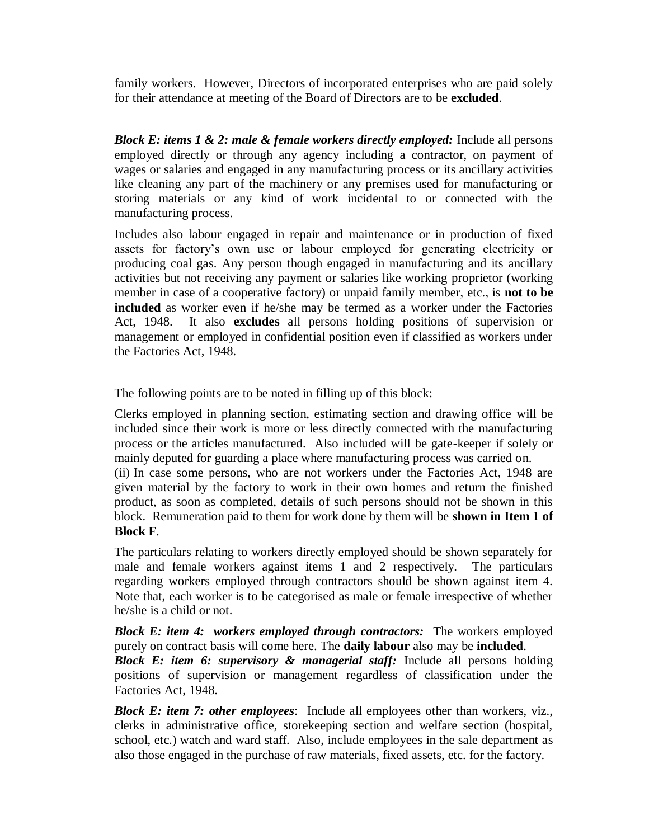family workers. However, Directors of incorporated enterprises who are paid solely for their attendance at meeting of the Board of Directors are to be **excluded**.

*Block E: items 1 & 2: male & female workers directly employed:* Include all persons employed directly or through any agency including a contractor, on payment of wages or salaries and engaged in any manufacturing process or its ancillary activities like cleaning any part of the machinery or any premises used for manufacturing or storing materials or any kind of work incidental to or connected with the manufacturing process.

Includes also labour engaged in repair and maintenance or in production of fixed assets for factory's own use or labour employed for generating electricity or producing coal gas. Any person though engaged in manufacturing and its ancillary activities but not receiving any payment or salaries like working proprietor (working member in case of a cooperative factory) or unpaid family member, etc., is **not to be included** as worker even if he/she may be termed as a worker under the Factories Act, 1948. It also **excludes** all persons holding positions of supervision or management or employed in confidential position even if classified as workers under the Factories Act, 1948.

The following points are to be noted in filling up of this block:

Clerks employed in planning section, estimating section and drawing office will be included since their work is more or less directly connected with the manufacturing process or the articles manufactured. Also included will be gate-keeper if solely or mainly deputed for guarding a place where manufacturing process was carried on.

(ii) In case some persons, who are not workers under the Factories Act, 1948 are given material by the factory to work in their own homes and return the finished product, as soon as completed, details of such persons should not be shown in this block. Remuneration paid to them for work done by them will be **shown in Item 1 of Block F**.

The particulars relating to workers directly employed should be shown separately for male and female workers against items 1 and 2 respectively. The particulars regarding workers employed through contractors should be shown against item 4. Note that, each worker is to be categorised as male or female irrespective of whether he/she is a child or not.

*Block E: item 4: workers employed through contractors:* The workers employed purely on contract basis will come here. The **daily labour** also may be **included**.

*Block E: item 6: supervisory & managerial staff:* Include all persons holding positions of supervision or management regardless of classification under the Factories Act, 1948.

*Block E: item 7: other employees*: Include all employees other than workers, viz., clerks in administrative office, storekeeping section and welfare section (hospital, school, etc.) watch and ward staff. Also, include employees in the sale department as also those engaged in the purchase of raw materials, fixed assets, etc. for the factory.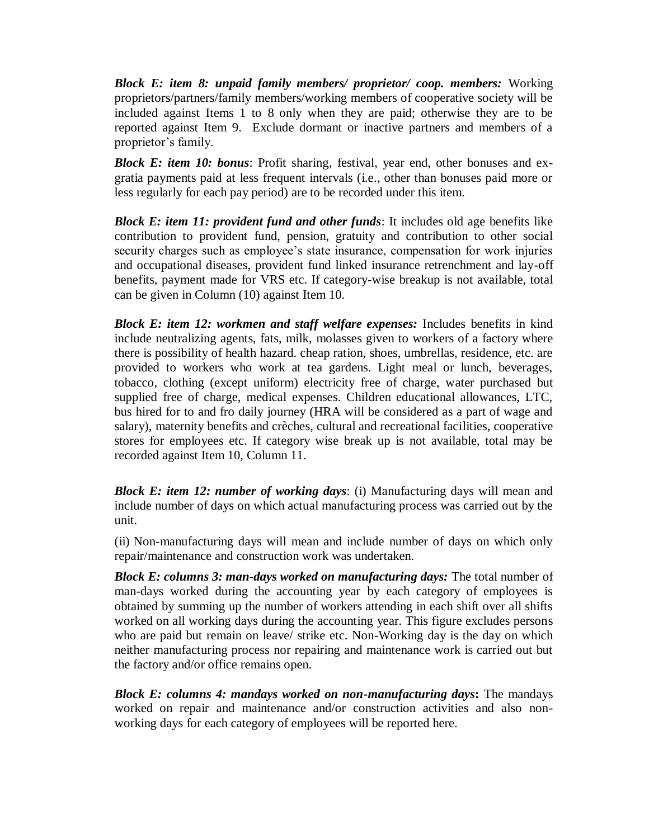*Block E: item 8: unpaid family members/ proprietor/ coop. members:* Working proprietors/partners/family members/working members of cooperative society will be included against Items 1 to 8 only when they are paid; otherwise they are to be reported against Item 9. Exclude dormant or inactive partners and members of a proprietor's family.

*Block E: item 10: bonus*: Profit sharing, festival, year end, other bonuses and exgratia payments paid at less frequent intervals (i.e., other than bonuses paid more or less regularly for each pay period) are to be recorded under this item.

*Block E: item 11: provident fund and other funds*: It includes old age benefits like contribution to provident fund, pension, gratuity and contribution to other social security charges such as employee's state insurance, compensation for work injuries and occupational diseases, provident fund linked insurance retrenchment and lay-off benefits, payment made for VRS etc. If category-wise breakup is not available, total can be given in Column (10) against Item 10.

*Block E: item 12: workmen and staff welfare expenses:* Includes benefits in kind include neutralizing agents, fats, milk, molasses given to workers of a factory where there is possibility of health hazard. cheap ration, shoes, umbrellas, residence, etc. are provided to workers who work at tea gardens. Light meal or lunch, beverages, tobacco, clothing (except uniform) electricity free of charge, water purchased but supplied free of charge, medical expenses. Children educational allowances, LTC, bus hired for to and fro daily journey (HRA will be considered as a part of wage and salary), maternity benefits and crèches, cultural and recreational facilities, cooperative stores for employees etc. If category wise break up is not available, total may be recorded against Item 10, Column 11.

*Block E: item 12: number of working days*: (i) Manufacturing days will mean and include number of days on which actual manufacturing process was carried out by the unit.

(ii) Non-manufacturing days will mean and include number of days on which only repair/maintenance and construction work was undertaken.

*Block E: columns 3: man-days worked on manufacturing days:* The total number of man-days worked during the accounting year by each category of employees is obtained by summing up the number of workers attending in each shift over all shifts worked on all working days during the accounting year. This figure excludes persons who are paid but remain on leave/ strike etc. Non-Working day is the day on which neither manufacturing process nor repairing and maintenance work is carried out but the factory and/or office remains open.

*Block E: columns 4: mandays worked on non-manufacturing days***:** The mandays worked on repair and maintenance and/or construction activities and also nonworking days for each category of employees will be reported here.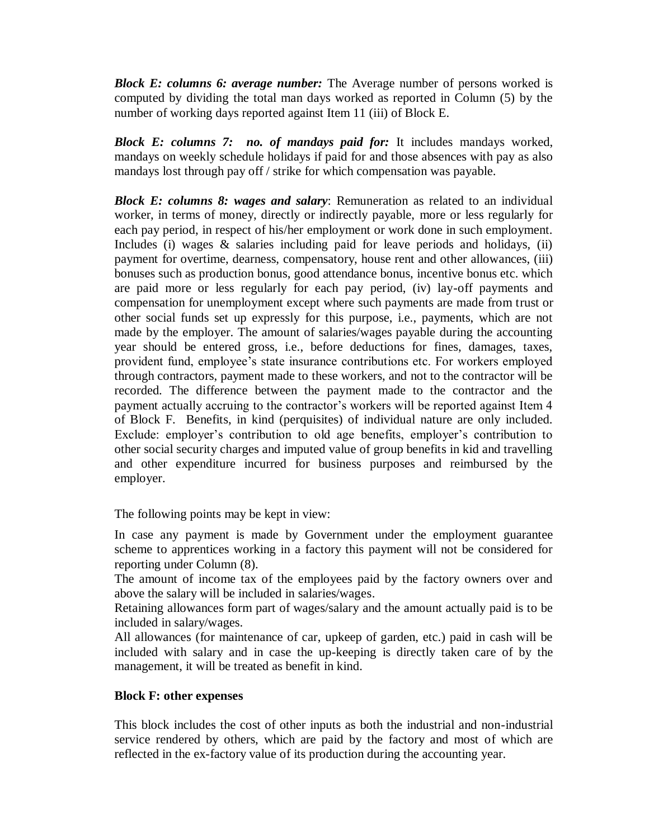*Block E: columns 6: average number:* The Average number of persons worked is computed by dividing the total man days worked as reported in Column (5) by the number of working days reported against Item 11 (iii) of Block E.

*Block E: columns 7: no. of mandays paid for:* It includes mandays worked, mandays on weekly schedule holidays if paid for and those absences with pay as also mandays lost through pay off / strike for which compensation was payable.

*Block E: columns 8: wages and salary*: Remuneration as related to an individual worker, in terms of money, directly or indirectly payable, more or less regularly for each pay period, in respect of his/her employment or work done in such employment. Includes (i) wages & salaries including paid for leave periods and holidays, (ii) payment for overtime, dearness, compensatory, house rent and other allowances, (iii) bonuses such as production bonus, good attendance bonus, incentive bonus etc. which are paid more or less regularly for each pay period, (iv) lay-off payments and compensation for unemployment except where such payments are made from trust or other social funds set up expressly for this purpose, i.e., payments, which are not made by the employer. The amount of salaries/wages payable during the accounting year should be entered gross, i.e., before deductions for fines, damages, taxes, provident fund, employee's state insurance contributions etc. For workers employed through contractors, payment made to these workers, and not to the contractor will be recorded. The difference between the payment made to the contractor and the payment actually accruing to the contractor's workers will be reported against Item 4 of Block F. Benefits, in kind (perquisites) of individual nature are only included. Exclude: employer's contribution to old age benefits, employer's contribution to other social security charges and imputed value of group benefits in kid and travelling and other expenditure incurred for business purposes and reimbursed by the employer.

The following points may be kept in view:

In case any payment is made by Government under the employment guarantee scheme to apprentices working in a factory this payment will not be considered for reporting under Column (8).

The amount of income tax of the employees paid by the factory owners over and above the salary will be included in salaries/wages.

Retaining allowances form part of wages/salary and the amount actually paid is to be included in salary/wages.

All allowances (for maintenance of car, upkeep of garden, etc.) paid in cash will be included with salary and in case the up-keeping is directly taken care of by the management, it will be treated as benefit in kind.

## **Block F: other expenses**

This block includes the cost of other inputs as both the industrial and non-industrial service rendered by others, which are paid by the factory and most of which are reflected in the ex-factory value of its production during the accounting year.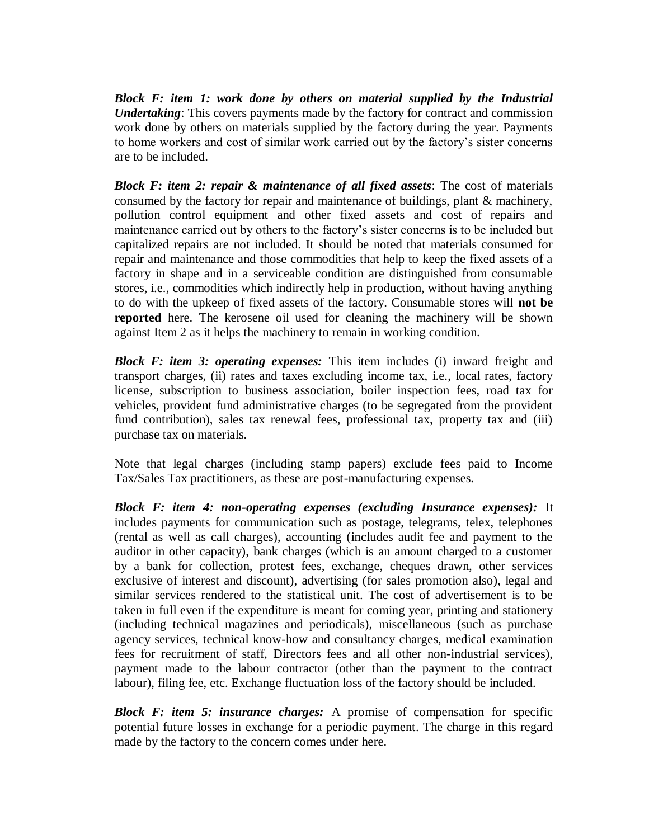*Block F: item 1: work done by others on material supplied by the Industrial Undertaking*: This covers payments made by the factory for contract and commission work done by others on materials supplied by the factory during the year. Payments to home workers and cost of similar work carried out by the factory's sister concerns are to be included.

*Block F: item 2: repair & maintenance of all fixed assets*: The cost of materials consumed by the factory for repair and maintenance of buildings, plant & machinery, pollution control equipment and other fixed assets and cost of repairs and maintenance carried out by others to the factory's sister concerns is to be included but capitalized repairs are not included. It should be noted that materials consumed for repair and maintenance and those commodities that help to keep the fixed assets of a factory in shape and in a serviceable condition are distinguished from consumable stores, i.e., commodities which indirectly help in production, without having anything to do with the upkeep of fixed assets of the factory. Consumable stores will **not be reported** here. The kerosene oil used for cleaning the machinery will be shown against Item 2 as it helps the machinery to remain in working condition.

*Block F: item 3: operating expenses:* This item includes (i) inward freight and transport charges, (ii) rates and taxes excluding income tax, i.e., local rates, factory license, subscription to business association, boiler inspection fees, road tax for vehicles, provident fund administrative charges (to be segregated from the provident fund contribution), sales tax renewal fees, professional tax, property tax and (iii) purchase tax on materials.

Note that legal charges (including stamp papers) exclude fees paid to Income Tax/Sales Tax practitioners, as these are post-manufacturing expenses.

*Block F: item 4: non-operating expenses (excluding Insurance expenses):* It includes payments for communication such as postage, telegrams, telex, telephones (rental as well as call charges), accounting (includes audit fee and payment to the auditor in other capacity), bank charges (which is an amount charged to a customer by a bank for collection, protest fees, exchange, cheques drawn, other services exclusive of interest and discount), advertising (for sales promotion also), legal and similar services rendered to the statistical unit. The cost of advertisement is to be taken in full even if the expenditure is meant for coming year, printing and stationery (including technical magazines and periodicals), miscellaneous (such as purchase agency services, technical know-how and consultancy charges, medical examination fees for recruitment of staff, Directors fees and all other non-industrial services), payment made to the labour contractor (other than the payment to the contract labour), filing fee, etc. Exchange fluctuation loss of the factory should be included.

*Block F: item 5: insurance charges:* A [promise](http://www.businessdictionary.com/definition/promise.html) of compensation for specific potential future losses in [exchange](http://www.investorwords.com/1797/exchange.html) for a periodic [payment.](http://www.investorwords.com/3634/payment.html) The charge in this regard made by the factory to the concern comes under here.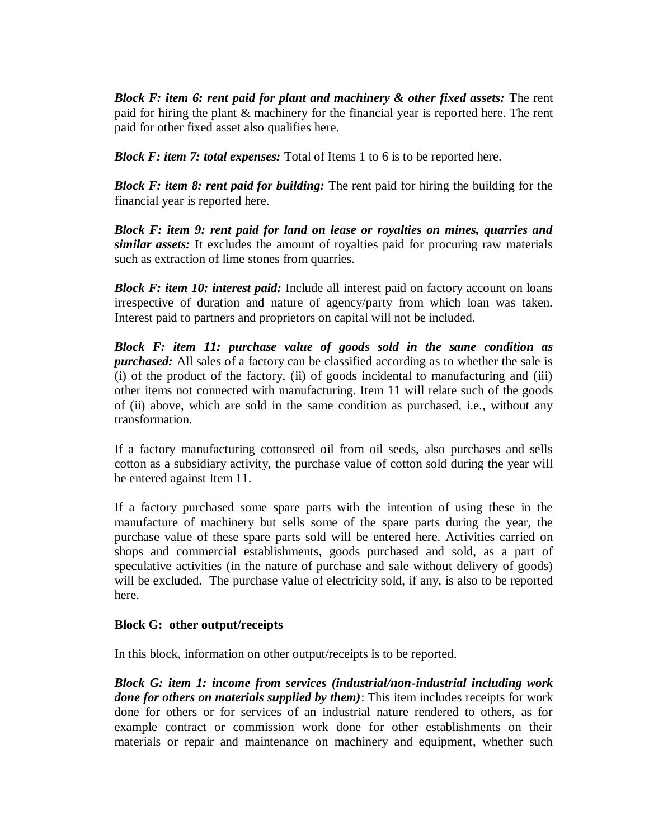*Block F: item 6: rent paid for plant and machinery & other fixed assets:* The rent paid for hiring the plant & machinery for the financial year is reported here. The rent paid for other fixed asset also qualifies here.

*Block F: item 7: total expenses:* Total of Items 1 to 6 is to be reported here.

*Block F: item 8: rent paid for building:* The rent paid for hiring the building for the financial year is reported here.

*Block F: item 9: rent paid for land on lease or royalties on mines, quarries and similar assets:* It excludes the amount of royalties paid for procuring raw materials such as extraction of lime stones from quarries.

*Block F: item 10: interest paid:* Include all interest paid on factory account on loans irrespective of duration and nature of agency/party from which loan was taken. Interest paid to partners and proprietors on capital will not be included.

*Block F: item 11: purchase value of goods sold in the same condition as purchased:* All sales of a factory can be classified according as to whether the sale is (i) of the product of the factory, (ii) of goods incidental to manufacturing and (iii) other items not connected with manufacturing. Item 11 will relate such of the goods of (ii) above, which are sold in the same condition as purchased, i.e., without any transformation.

If a factory manufacturing cottonseed oil from oil seeds, also purchases and sells cotton as a subsidiary activity, the purchase value of cotton sold during the year will be entered against Item 11.

If a factory purchased some spare parts with the intention of using these in the manufacture of machinery but sells some of the spare parts during the year, the purchase value of these spare parts sold will be entered here. Activities carried on shops and commercial establishments, goods purchased and sold, as a part of speculative activities (in the nature of purchase and sale without delivery of goods) will be excluded. The purchase value of electricity sold, if any, is also to be reported here.

### **Block G: other output/receipts**

In this block, information on other output/receipts is to be reported.

*Block G: item 1: income from services (industrial/non-industrial including work done for others on materials supplied by them)*: This item includes receipts for work done for others or for services of an industrial nature rendered to others, as for example contract or commission work done for other establishments on their materials or repair and maintenance on machinery and equipment, whether such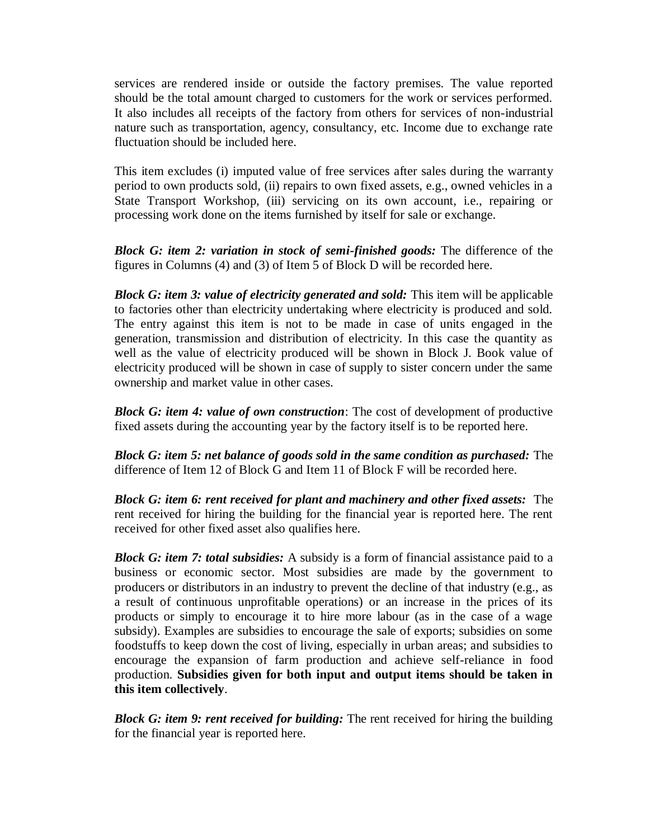services are rendered inside or outside the factory premises. The value reported should be the total amount charged to customers for the work or services performed. It also includes all receipts of the factory from others for services of non-industrial nature such as transportation, agency, consultancy, etc. Income due to exchange rate fluctuation should be included here.

This item excludes (i) imputed value of free services after sales during the warranty period to own products sold, (ii) repairs to own fixed assets, e.g., owned vehicles in a State Transport Workshop, (iii) servicing on its own account, i.e., repairing or processing work done on the items furnished by itself for sale or exchange.

*Block G: item 2: variation in stock of semi-finished goods:* The difference of the figures in Columns (4) and (3) of Item 5 of Block D will be recorded here.

*Block G: item 3: value of electricity generated and sold:* This item will be applicable to factories other than electricity undertaking where electricity is produced and sold. The entry against this item is not to be made in case of units engaged in the generation, transmission and distribution of electricity. In this case the quantity as well as the value of electricity produced will be shown in Block J. Book value of electricity produced will be shown in case of supply to sister concern under the same ownership and market value in other cases.

*Block G: item 4: value of own construction*: The cost of development of productive fixed assets during the accounting year by the factory itself is to be reported here.

*Block G: item 5: net balance of goods sold in the same condition as purchased:* The difference of Item 12 of Block G and Item 11 of Block F will be recorded here.

*Block G: item 6: rent received for plant and machinery and other fixed assets:* The rent received for hiring the building for the financial year is reported here. The rent received for other fixed asset also qualifies here.

*Block G: item 7: total subsidies:* A subsidy is a form of financial assistance paid to a business or economic sector. Most subsidies are made by the government to producers or distributors in an industry to prevent the decline of that industry (e.g., as a result of continuous unprofitable operations) or an increase in the prices of its products or simply to encourage it to hire more labour (as in the case of a wage subsidy). Examples are subsidies to encourage the sale of exports; subsidies on some foodstuffs to keep down the cost of living, especially in urban areas; and subsidies to encourage the expansion of farm production and achieve self-reliance in food production. **Subsidies given for both input and output items should be taken in this item collectively**.

*Block G: item 9: rent received for building:* The rent received for hiring the building for the financial year is reported here.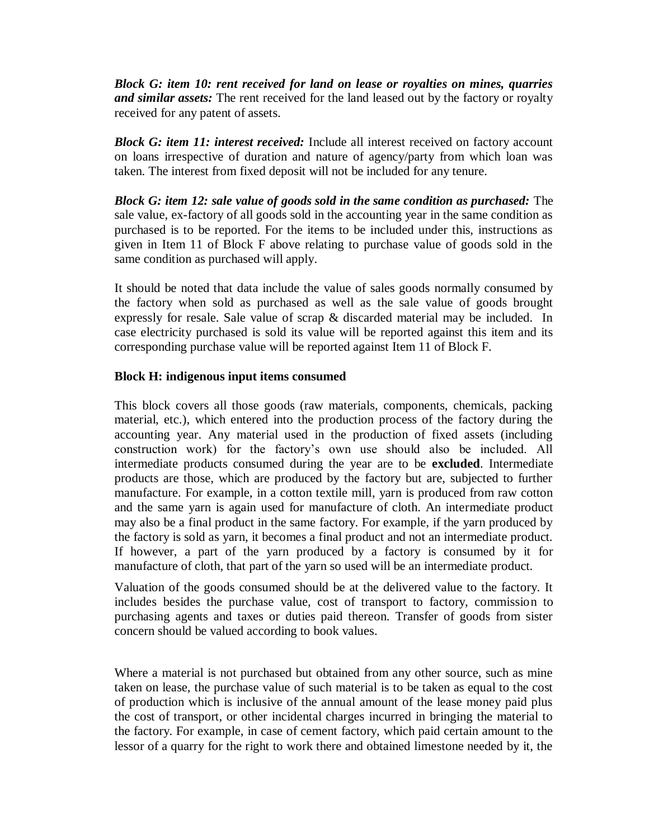*Block G: item 10: rent received for land on lease or royalties on mines, quarries and similar assets:* The rent received for the land leased out by the factory or royalty received for any patent of assets.

*Block G: item 11: interest received:* Include all interest received on factory account on loans irrespective of duration and nature of agency/party from which loan was taken. The interest from fixed deposit will not be included for any tenure.

*Block G: item 12: sale value of goods sold in the same condition as purchased:* The sale value, ex-factory of all goods sold in the accounting year in the same condition as purchased is to be reported. For the items to be included under this, instructions as given in Item 11 of Block F above relating to purchase value of goods sold in the same condition as purchased will apply.

It should be noted that data include the value of sales goods normally consumed by the factory when sold as purchased as well as the sale value of goods brought expressly for resale. Sale value of scrap & discarded material may be included. In case electricity purchased is sold its value will be reported against this item and its corresponding purchase value will be reported against Item 11 of Block F.

### **Block H: indigenous input items consumed**

This block covers all those goods (raw materials, components, chemicals, packing material, etc.), which entered into the production process of the factory during the accounting year. Any material used in the production of fixed assets (including construction work) for the factory's own use should also be included. All intermediate products consumed during the year are to be **excluded**. Intermediate products are those, which are produced by the factory but are, subjected to further manufacture. For example, in a cotton textile mill, yarn is produced from raw cotton and the same yarn is again used for manufacture of cloth. An intermediate product may also be a final product in the same factory. For example, if the yarn produced by the factory is sold as yarn, it becomes a final product and not an intermediate product. If however, a part of the yarn produced by a factory is consumed by it for manufacture of cloth, that part of the yarn so used will be an intermediate product.

Valuation of the goods consumed should be at the delivered value to the factory. It includes besides the purchase value, cost of transport to factory, commission to purchasing agents and taxes or duties paid thereon. Transfer of goods from sister concern should be valued according to book values.

Where a material is not purchased but obtained from any other source, such as mine taken on lease, the purchase value of such material is to be taken as equal to the cost of production which is inclusive of the annual amount of the lease money paid plus the cost of transport, or other incidental charges incurred in bringing the material to the factory. For example, in case of cement factory, which paid certain amount to the lessor of a quarry for the right to work there and obtained limestone needed by it, the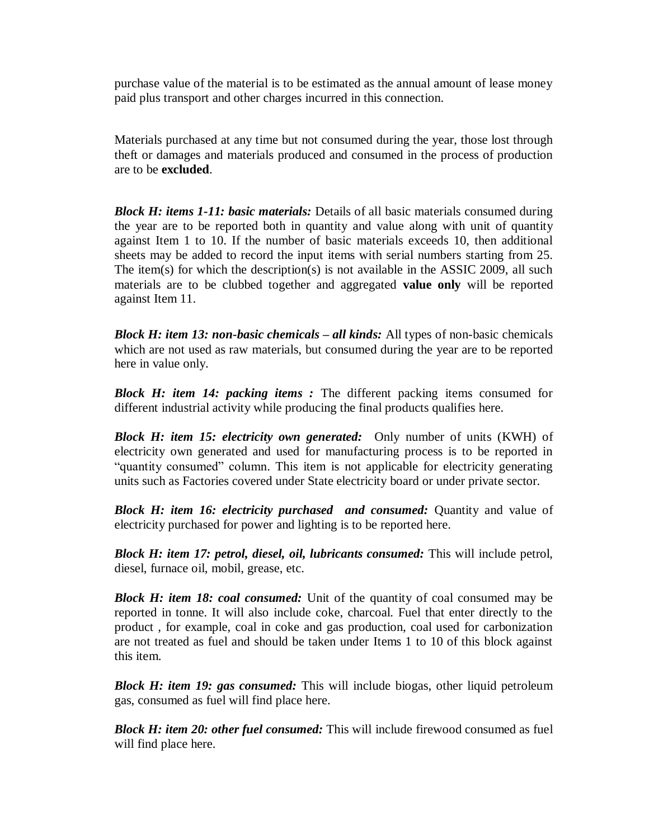purchase value of the material is to be estimated as the annual amount of lease money paid plus transport and other charges incurred in this connection.

Materials purchased at any time but not consumed during the year, those lost through theft or damages and materials produced and consumed in the process of production are to be **excluded**.

*Block H: items 1-11: basic materials:* Details of all basic materials consumed during the year are to be reported both in quantity and value along with unit of quantity against Item 1 to 10. If the number of basic materials exceeds 10, then additional sheets may be added to record the input items with serial numbers starting from 25. The item(s) for which the description(s) is not available in the ASSIC 2009, all such materials are to be clubbed together and aggregated **value only** will be reported against Item 11.

*Block H: item 13: non-basic chemicals – all kinds:* All types of non-basic chemicals which are not used as raw materials, but consumed during the year are to be reported here in value only.

*Block H: item 14: packing items :* The different packing items consumed for different industrial activity while producing the final products qualifies here.

*Block H: item 15: electricity own generated:* Only number of units (KWH) of electricity own generated and used for manufacturing process is to be reported in "quantity consumed" column. This item is not applicable for electricity generating units such as Factories covered under State electricity board or under private sector.

*Block H: item 16: electricity purchased and consumed:* Quantity and value of electricity purchased for power and lighting is to be reported here.

*Block H: item 17: petrol, diesel, oil, lubricants consumed:* This will include petrol, diesel, furnace oil, mobil, grease, etc.

*Block H: item 18: coal consumed:* Unit of the quantity of coal consumed may be reported in tonne. It will also include coke, charcoal. Fuel that enter directly to the product , for example, coal in coke and gas production, coal used for carbonization are not treated as fuel and should be taken under Items 1 to 10 of this block against this item.

*Block H: item 19: gas consumed:* This will include biogas, other liquid petroleum gas, consumed as fuel will find place here.

*Block H: item 20: other fuel consumed:* This will include firewood consumed as fuel will find place here.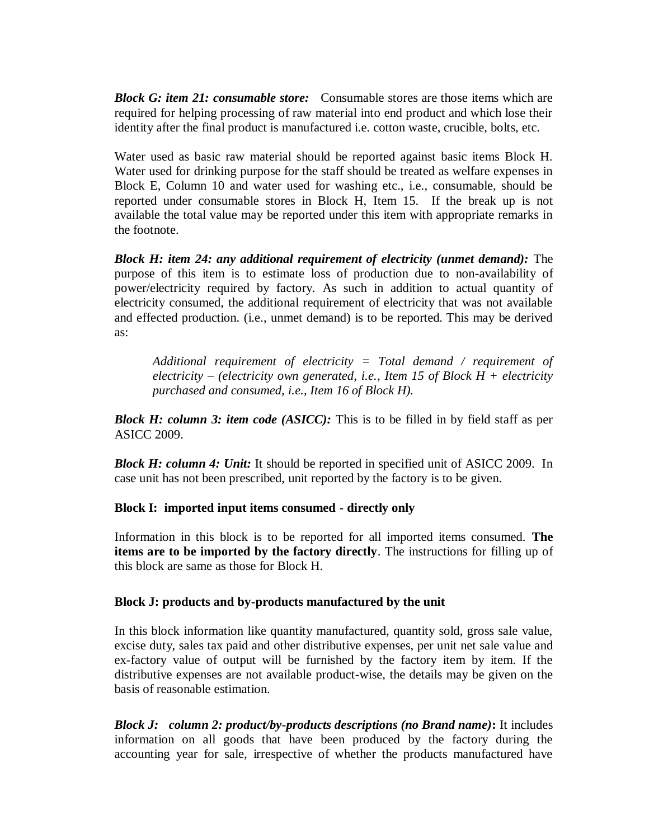*Block G: item 21: consumable store:*Consumable stores are those items which are required for helping processing of raw material into end product and which lose their identity after the final product is manufactured i.e. cotton waste, crucible, bolts, etc.

Water used as basic raw material should be reported against basic items Block H. Water used for drinking purpose for the staff should be treated as welfare expenses in Block E, Column 10 and water used for washing etc., i.e., consumable, should be reported under consumable stores in Block H, Item 15. If the break up is not available the total value may be reported under this item with appropriate remarks in the footnote.

*Block H: item 24: any additional requirement of electricity (unmet demand):* The purpose of this item is to estimate loss of production due to non-availability of power/electricity required by factory. As such in addition to actual quantity of electricity consumed, the additional requirement of electricity that was not available and effected production. (i.e., unmet demand) is to be reported. This may be derived as:

*Additional requirement of electricity = Total demand / requirement of electricity – (electricity own generated, i.e., Item 15 of Block H + electricity purchased and consumed, i.e., Item 16 of Block H).*

*Block H: column 3: item code (ASICC):* This is to be filled in by field staff as per ASICC 2009.

*Block H: column 4: Unit:* It should be reported in specified unit of ASICC 2009. In case unit has not been prescribed, unit reported by the factory is to be given.

**Block I: imported input items consumed - directly only**

Information in this block is to be reported for all imported items consumed. **The items are to be imported by the factory directly**. The instructions for filling up of this block are same as those for Block H.

### **Block J: products and by-products manufactured by the unit**

In this block information like quantity manufactured, quantity sold, gross sale value, excise duty, sales tax paid and other distributive expenses, per unit net sale value and ex-factory value of output will be furnished by the factory item by item. If the distributive expenses are not available product-wise, the details may be given on the basis of reasonable estimation.

*Block J: column 2: product/by-products descriptions (no Brand name)***:** It includes information on all goods that have been produced by the factory during the accounting year for sale, irrespective of whether the products manufactured have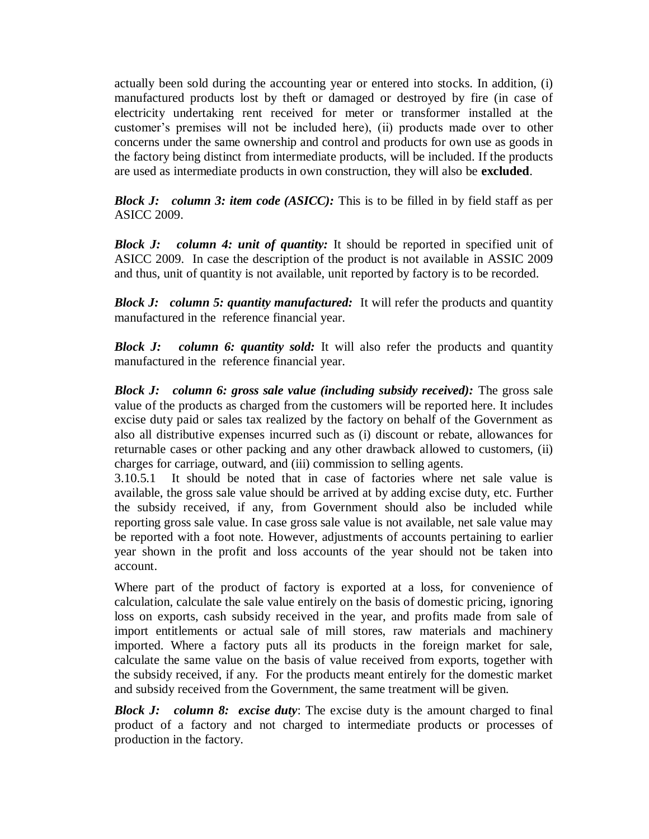actually been sold during the accounting year or entered into stocks. In addition, (i) manufactured products lost by theft or damaged or destroyed by fire (in case of electricity undertaking rent received for meter or transformer installed at the customer's premises will not be included here), (ii) products made over to other concerns under the same ownership and control and products for own use as goods in the factory being distinct from intermediate products, will be included. If the products are used as intermediate products in own construction, they will also be **excluded**.

*Block J: column 3: item code (ASICC):* This is to be filled in by field staff as per ASICC 2009.

*Block J: column 4: unit of quantity:* It should be reported in specified unit of ASICC 2009. In case the description of the product is not available in ASSIC 2009 and thus, unit of quantity is not available, unit reported by factory is to be recorded.

*Block J: column 5: quantity manufactured:* It will refer the products and quantity manufactured in the reference financial year.

**Block J:** column 6: quantity sold: It will also refer the products and quantity manufactured in the reference financial year.

*Block J: column 6: gross sale value (including subsidy received):* The gross sale value of the products as charged from the customers will be reported here. It includes excise duty paid or sales tax realized by the factory on behalf of the Government as also all distributive expenses incurred such as (i) discount or rebate, allowances for returnable cases or other packing and any other drawback allowed to customers, (ii) charges for carriage, outward, and (iii) commission to selling agents.

3.10.5.1 It should be noted that in case of factories where net sale value is available, the gross sale value should be arrived at by adding excise duty, etc. Further the subsidy received, if any, from Government should also be included while reporting gross sale value. In case gross sale value is not available, net sale value may be reported with a foot note. However, adjustments of accounts pertaining to earlier year shown in the profit and loss accounts of the year should not be taken into account.

Where part of the product of factory is exported at a loss, for convenience of calculation, calculate the sale value entirely on the basis of domestic pricing, ignoring loss on exports, cash subsidy received in the year, and profits made from sale of import entitlements or actual sale of mill stores, raw materials and machinery imported. Where a factory puts all its products in the foreign market for sale, calculate the same value on the basis of value received from exports, together with the subsidy received, if any. For the products meant entirely for the domestic market and subsidy received from the Government, the same treatment will be given.

*Block J: column 8: excise duty:* The excise duty is the amount charged to final product of a factory and not charged to intermediate products or processes of production in the factory.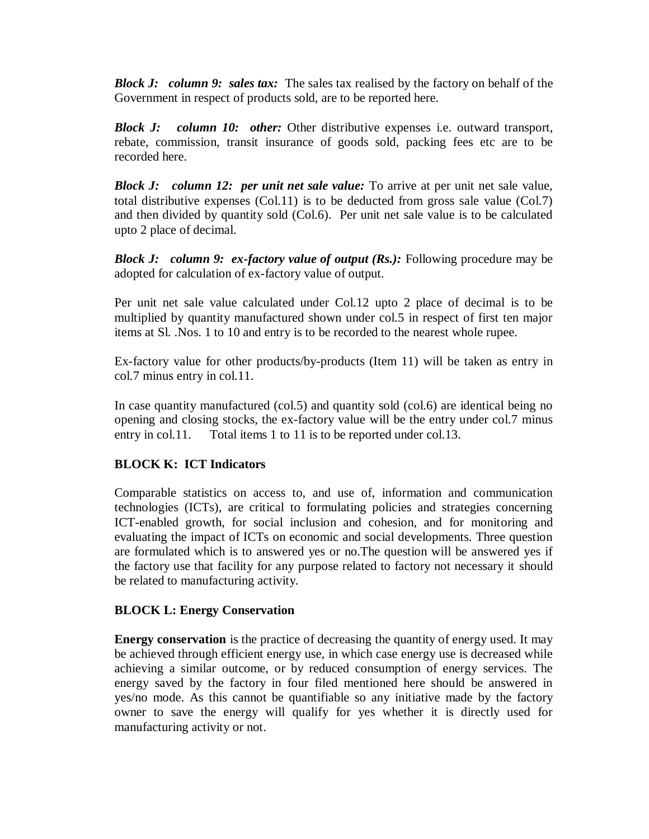*Block J: column 9: sales tax:* The sales tax realised by the factory on behalf of the Government in respect of products sold, are to be reported here.

*Block J: column 10: other:* Other distributive expenses i.e. outward transport, rebate, commission, transit insurance of goods sold, packing fees etc are to be recorded here.

*Block J: column 12: per unit net sale value:* To arrive at per unit net sale value, total distributive expenses (Col.11) is to be deducted from gross sale value (Col.7) and then divided by quantity sold (Col.6). Per unit net sale value is to be calculated upto 2 place of decimal.

*Block J: column 9: ex-factory value of output (Rs.):* Following procedure may be adopted for calculation of ex-factory value of output.

Per unit net sale value calculated under Col.12 upto 2 place of decimal is to be multiplied by quantity manufactured shown under col.5 in respect of first ten major items at Sl. .Nos. 1 to 10 and entry is to be recorded to the nearest whole rupee.

Ex-factory value for other products/by-products (Item 11) will be taken as entry in col.7 minus entry in col.11.

In case quantity manufactured (col.5) and quantity sold (col.6) are identical being no opening and closing stocks, the ex-factory value will be the entry under col.7 minus entry in col.11. Total items 1 to 11 is to be reported under col.13.

## **BLOCK K: ICT Indicators**

Comparable statistics on access to, and use of, information and communication technologies (ICTs), are critical to formulating policies and strategies concerning ICT-enabled growth, for social inclusion and cohesion, and for monitoring and evaluating the impact of ICTs on economic and social developments. Three question are formulated which is to answered yes or no.The question will be answered yes if the factory use that facility for any purpose related to factory not necessary it should be related to manufacturing activity.

### **BLOCK L: Energy Conservation**

**Energy conservation** is the practice of decreasing the quantity of energy used. It may be achieved through [efficient energy use,](http://en.wikipedia.org/wiki/Efficient_energy_use) in which case energy use is decreased while achieving a similar outcome, or by reduced consumption of energy services. The energy saved by the factory in four filed mentioned here should be answered in yes/no mode. As this cannot be quantifiable so any initiative made by the factory owner to save the energy will qualify for yes whether it is directly used for manufacturing activity or not.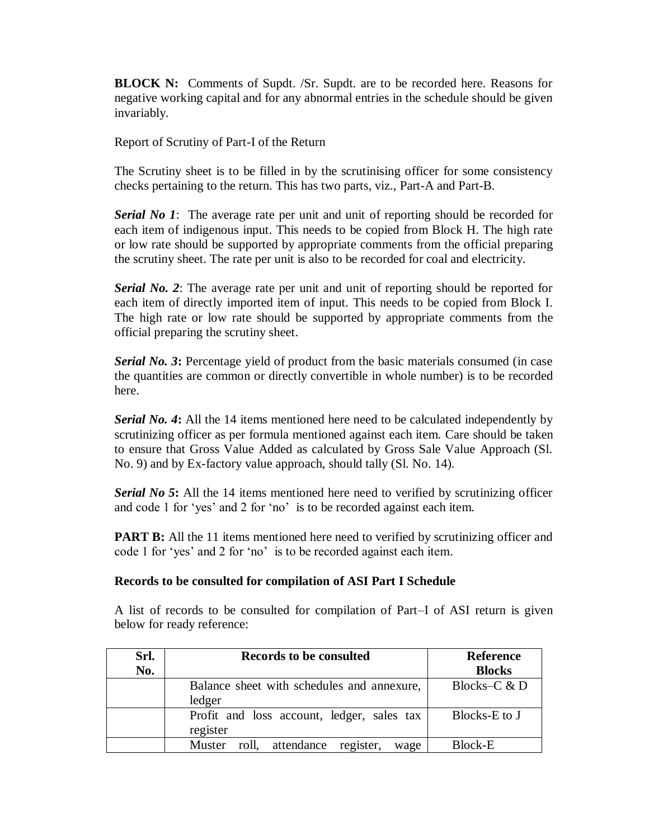**BLOCK N:** Comments of Supdt. /Sr. Supdt. are to be recorded here. Reasons for negative working capital and for any abnormal entries in the schedule should be given invariably.

Report of Scrutiny of Part-I of the Return

The Scrutiny sheet is to be filled in by the scrutinising officer for some consistency checks pertaining to the return. This has two parts, viz., Part-A and Part-B.

*Serial No 1*: The average rate per unit and unit of reporting should be recorded for each item of indigenous input. This needs to be copied from Block H. The high rate or low rate should be supported by appropriate comments from the official preparing the scrutiny sheet. The rate per unit is also to be recorded for coal and electricity.

*Serial No. 2*: The average rate per unit and unit of reporting should be reported for each item of directly imported item of input. This needs to be copied from Block I. The high rate or low rate should be supported by appropriate comments from the official preparing the scrutiny sheet.

**Serial No. 3:** Percentage yield of product from the basic materials consumed (in case the quantities are common or directly convertible in whole number) is to be recorded here.

*Serial No. 4***:** All the 14 items mentioned here need to be calculated independently by scrutinizing officer as per formula mentioned against each item. Care should be taken to ensure that Gross Value Added as calculated by Gross Sale Value Approach (Sl. No. 9) and by Ex-factory value approach, should tally (Sl. No. 14).

**Serial No 5:** All the 14 items mentioned here need to verified by scrutinizing officer and code 1 for 'yes' and 2 for 'no' is to be recorded against each item.

**PART B:** All the 11 items mentioned here need to verified by scrutinizing officer and code 1 for 'yes' and 2 for 'no' is to be recorded against each item.

#### **Records to be consulted for compilation of ASI Part I Schedule**

A list of records to be consulted for compilation of Part–I of ASI return is given below for ready reference:

| Srl. | Records to be consulted                      | <b>Reference</b> |
|------|----------------------------------------------|------------------|
| No.  |                                              | <b>Blocks</b>    |
|      | Balance sheet with schedules and annexure,   | Blocks– $C$ & D  |
|      | ledger                                       |                  |
|      | Profit and loss account, ledger, sales tax   | Blocks-E to J    |
|      | register                                     |                  |
|      | roll, attendance register,<br>Muster<br>wage | <b>Block-E</b>   |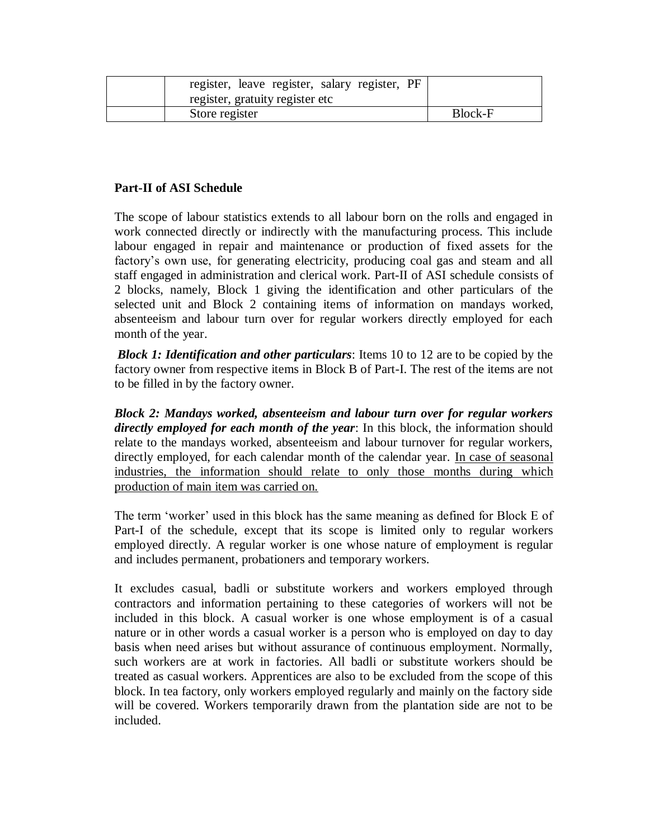| register, leave register, salary register, PF |                |
|-----------------------------------------------|----------------|
| register, gratuity register etc               |                |
| Store register                                | <b>Block-F</b> |

### **Part-II of ASI Schedule**

The scope of labour statistics extends to all labour born on the rolls and engaged in work connected directly or indirectly with the manufacturing process. This include labour engaged in repair and maintenance or production of fixed assets for the factory's own use, for generating electricity, producing coal gas and steam and all staff engaged in administration and clerical work. Part-II of ASI schedule consists of 2 blocks, namely, Block 1 giving the identification and other particulars of the selected unit and Block 2 containing items of information on mandays worked, absenteeism and labour turn over for regular workers directly employed for each month of the year.

*Block 1: Identification and other particulars*: Items 10 to 12 are to be copied by the factory owner from respective items in Block B of Part-I. The rest of the items are not to be filled in by the factory owner.

*Block 2: Mandays worked, absenteeism and labour turn over for regular workers directly employed for each month of the year*: In this block, the information should relate to the mandays worked, absenteeism and labour turnover for regular workers, directly employed, for each calendar month of the calendar year. In case of seasonal industries, the information should relate to only those months during which production of main item was carried on.

The term 'worker' used in this block has the same meaning as defined for Block E of Part-I of the schedule, except that its scope is limited only to regular workers employed directly. A regular worker is one whose nature of employment is regular and includes permanent, probationers and temporary workers.

It excludes casual, badli or substitute workers and workers employed through contractors and information pertaining to these categories of workers will not be included in this block. A casual worker is one whose employment is of a casual nature or in other words a casual worker is a person who is employed on day to day basis when need arises but without assurance of continuous employment. Normally, such workers are at work in factories. All badli or substitute workers should be treated as casual workers. Apprentices are also to be excluded from the scope of this block. In tea factory, only workers employed regularly and mainly on the factory side will be covered. Workers temporarily drawn from the plantation side are not to be included.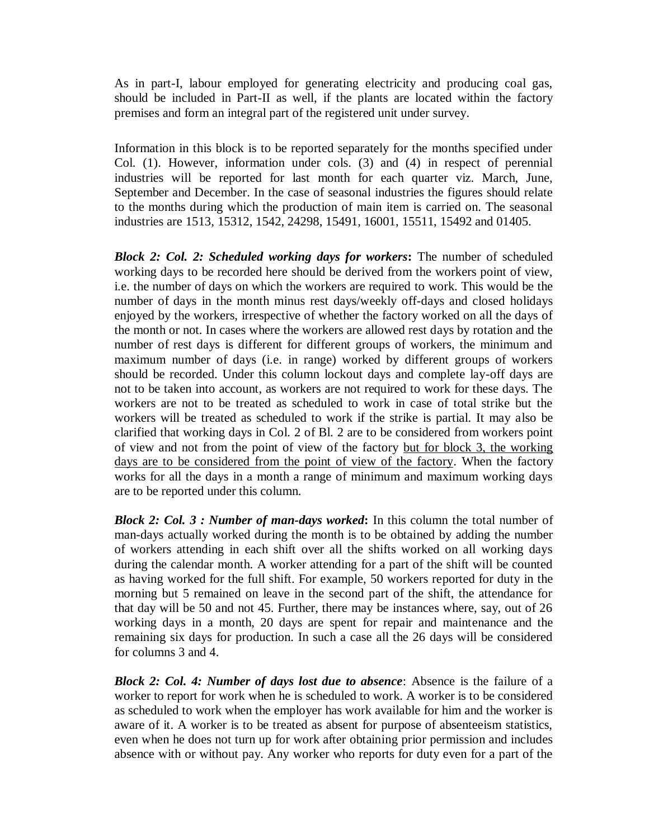As in part-I, labour employed for generating electricity and producing coal gas, should be included in Part-II as well, if the plants are located within the factory premises and form an integral part of the registered unit under survey.

Information in this block is to be reported separately for the months specified under Col. (1). However, information under cols. (3) and (4) in respect of perennial industries will be reported for last month for each quarter viz. March, June, September and December. In the case of seasonal industries the figures should relate to the months during which the production of main item is carried on. The seasonal industries are 1513, 15312, 1542, 24298, 15491, 16001, 15511, 15492 and 01405.

*Block 2: Col. 2: Scheduled working days for workers***:** The number of scheduled working days to be recorded here should be derived from the workers point of view, i.e. the number of days on which the workers are required to work. This would be the number of days in the month minus rest days/weekly off-days and closed holidays enjoyed by the workers, irrespective of whether the factory worked on all the days of the month or not. In cases where the workers are allowed rest days by rotation and the number of rest days is different for different groups of workers, the minimum and maximum number of days (i.e. in range) worked by different groups of workers should be recorded. Under this column lockout days and complete lay-off days are not to be taken into account, as workers are not required to work for these days. The workers are not to be treated as scheduled to work in case of total strike but the workers will be treated as scheduled to work if the strike is partial. It may also be clarified that working days in Col. 2 of Bl. 2 are to be considered from workers point of view and not from the point of view of the factory but for block 3, the working days are to be considered from the point of view of the factory. When the factory works for all the days in a month a range of minimum and maximum working days are to be reported under this column.

*Block 2: Col. 3 : Number of man-days worked***:** In this column the total number of man-days actually worked during the month is to be obtained by adding the number of workers attending in each shift over all the shifts worked on all working days during the calendar month. A worker attending for a part of the shift will be counted as having worked for the full shift. For example, 50 workers reported for duty in the morning but 5 remained on leave in the second part of the shift, the attendance for that day will be 50 and not 45. Further, there may be instances where, say, out of 26 working days in a month, 20 days are spent for repair and maintenance and the remaining six days for production. In such a case all the 26 days will be considered for columns 3 and 4.

*Block 2: Col. 4: Number of days lost due to absence*: Absence is the failure of a worker to report for work when he is scheduled to work. A worker is to be considered as scheduled to work when the employer has work available for him and the worker is aware of it. A worker is to be treated as absent for purpose of absenteeism statistics, even when he does not turn up for work after obtaining prior permission and includes absence with or without pay. Any worker who reports for duty even for a part of the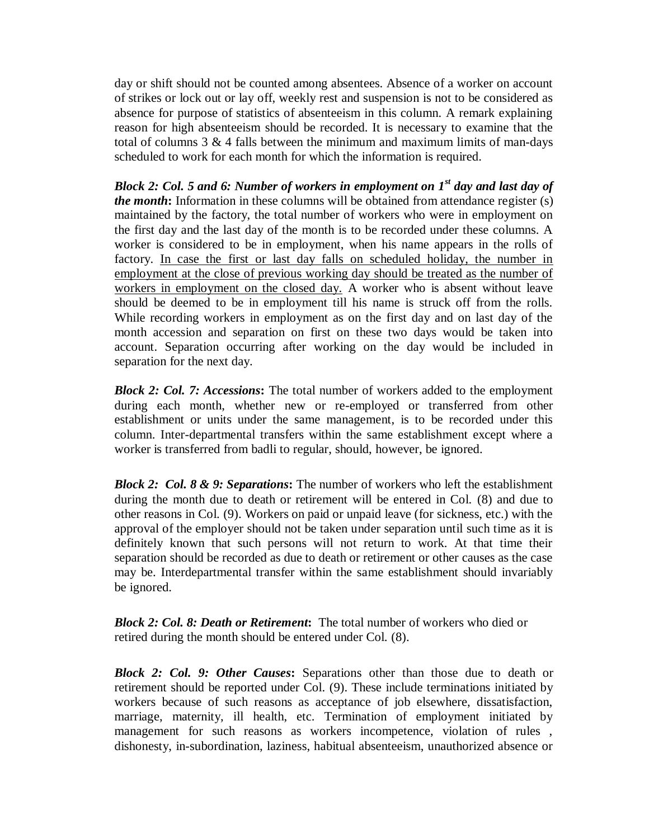day or shift should not be counted among absentees. Absence of a worker on account of strikes or lock out or lay off, weekly rest and suspension is not to be considered as absence for purpose of statistics of absenteeism in this column. A remark explaining reason for high absenteeism should be recorded. It is necessary to examine that the total of columns  $3 \& 4$  falls between the minimum and maximum limits of man-days scheduled to work for each month for which the information is required.

*Block 2: Col. 5 and 6: Number of workers in employment on 1st day and last day of the month***:** Information in these columns will be obtained from attendance register (s) maintained by the factory, the total number of workers who were in employment on the first day and the last day of the month is to be recorded under these columns. A worker is considered to be in employment, when his name appears in the rolls of factory. In case the first or last day falls on scheduled holiday, the number in employment at the close of previous working day should be treated as the number of workers in employment on the closed day. A worker who is absent without leave should be deemed to be in employment till his name is struck off from the rolls. While recording workers in employment as on the first day and on last day of the month accession and separation on first on these two days would be taken into account. Separation occurring after working on the day would be included in separation for the next day.

*Block 2: Col. 7: Accessions***:** The total number of workers added to the employment during each month, whether new or re-employed or transferred from other establishment or units under the same management, is to be recorded under this column. Inter-departmental transfers within the same establishment except where a worker is transferred from badli to regular, should, however, be ignored.

*Block 2: Col. 8 & 9: Separations***:** The number of workers who left the establishment during the month due to death or retirement will be entered in Col. (8) and due to other reasons in Col. (9). Workers on paid or unpaid leave (for sickness, etc.) with the approval of the employer should not be taken under separation until such time as it is definitely known that such persons will not return to work. At that time their separation should be recorded as due to death or retirement or other causes as the case may be. Interdepartmental transfer within the same establishment should invariably be ignored.

*Block 2: Col. 8: Death or Retirement***:** The total number of workers who died or retired during the month should be entered under Col. (8).

*Block 2: Col. 9: Other Causes***:** Separations other than those due to death or retirement should be reported under Col. (9). These include terminations initiated by workers because of such reasons as acceptance of job elsewhere, dissatisfaction, marriage, maternity, ill health, etc. Termination of employment initiated by management for such reasons as workers incompetence, violation of rules , dishonesty, in-subordination, laziness, habitual absenteeism, unauthorized absence or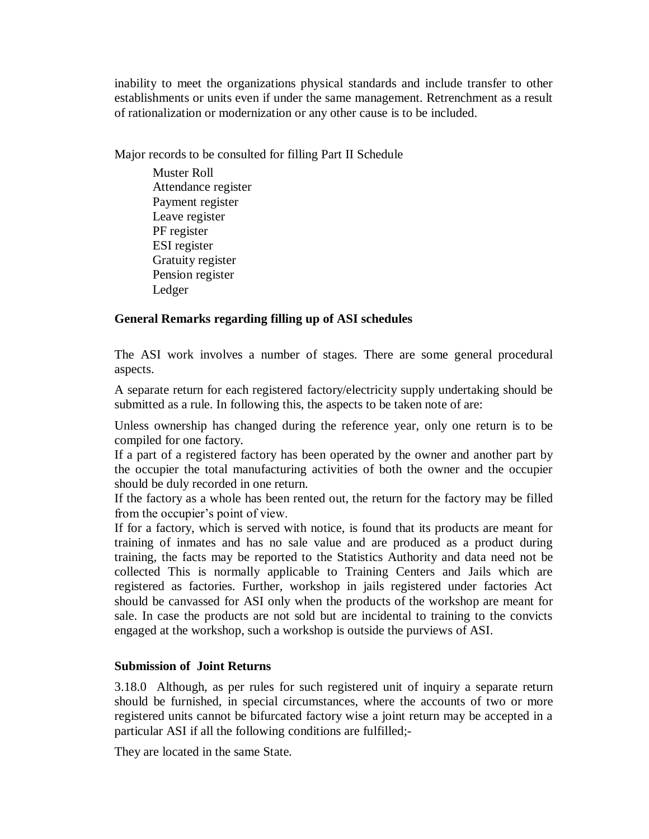inability to meet the organizations physical standards and include transfer to other establishments or units even if under the same management. Retrenchment as a result of rationalization or modernization or any other cause is to be included.

Major records to be consulted for filling Part II Schedule

Muster Roll Attendance register Payment register Leave register PF register ESI register Gratuity register Pension register Ledger

## **General Remarks regarding filling up of ASI schedules**

The ASI work involves a number of stages. There are some general procedural aspects.

A separate return for each registered factory/electricity supply undertaking should be submitted as a rule. In following this, the aspects to be taken note of are:

Unless ownership has changed during the reference year, only one return is to be compiled for one factory.

If a part of a registered factory has been operated by the owner and another part by the occupier the total manufacturing activities of both the owner and the occupier should be duly recorded in one return.

If the factory as a whole has been rented out, the return for the factory may be filled from the occupier's point of view.

If for a factory, which is served with notice, is found that its products are meant for training of inmates and has no sale value and are produced as a product during training, the facts may be reported to the Statistics Authority and data need not be collected This is normally applicable to Training Centers and Jails which are registered as factories. Further, workshop in jails registered under factories Act should be canvassed for ASI only when the products of the workshop are meant for sale. In case the products are not sold but are incidental to training to the convicts engaged at the workshop, such a workshop is outside the purviews of ASI.

## **Submission of Joint Returns**

3.18.0 Although, as per rules for such registered unit of inquiry a separate return should be furnished, in special circumstances, where the accounts of two or more registered units cannot be bifurcated factory wise a joint return may be accepted in a particular ASI if all the following conditions are fulfilled;-

They are located in the same State.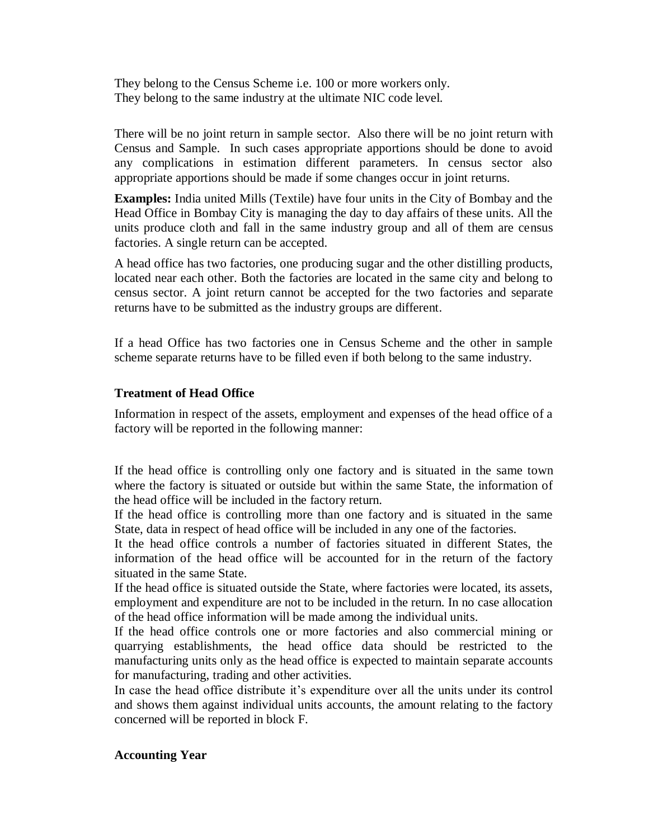They belong to the Census Scheme i.e. 100 or more workers only. They belong to the same industry at the ultimate NIC code level.

There will be no joint return in sample sector. Also there will be no joint return with Census and Sample. In such cases appropriate apportions should be done to avoid any complications in estimation different parameters. In census sector also appropriate apportions should be made if some changes occur in joint returns.

**Examples:** India united Mills (Textile) have four units in the City of Bombay and the Head Office in Bombay City is managing the day to day affairs of these units. All the units produce cloth and fall in the same industry group and all of them are census factories. A single return can be accepted.

A head office has two factories, one producing sugar and the other distilling products, located near each other. Both the factories are located in the same city and belong to census sector. A joint return cannot be accepted for the two factories and separate returns have to be submitted as the industry groups are different.

If a head Office has two factories one in Census Scheme and the other in sample scheme separate returns have to be filled even if both belong to the same industry.

### **Treatment of Head Office**

Information in respect of the assets, employment and expenses of the head office of a factory will be reported in the following manner:

If the head office is controlling only one factory and is situated in the same town where the factory is situated or outside but within the same State, the information of the head office will be included in the factory return.

If the head office is controlling more than one factory and is situated in the same State, data in respect of head office will be included in any one of the factories.

It the head office controls a number of factories situated in different States, the information of the head office will be accounted for in the return of the factory situated in the same State.

If the head office is situated outside the State, where factories were located, its assets, employment and expenditure are not to be included in the return. In no case allocation of the head office information will be made among the individual units.

If the head office controls one or more factories and also commercial mining or quarrying establishments, the head office data should be restricted to the manufacturing units only as the head office is expected to maintain separate accounts for manufacturing, trading and other activities.

In case the head office distribute it's expenditure over all the units under its control and shows them against individual units accounts, the amount relating to the factory concerned will be reported in block F.

### **Accounting Year**